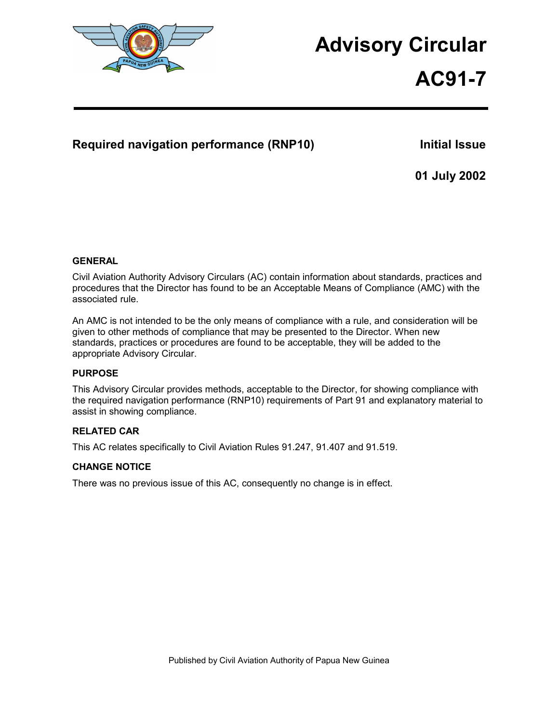

# **Advisory Circular**

# **AC91-7**

## **Required navigation performance (RNP10)** Thitial Issue

**01 July 2002** 

#### **GENERAL**

Civil Aviation Authority Advisory Circulars (AC) contain information about standards, practices and procedures that the Director has found to be an Acceptable Means of Compliance (AMC) with the associated rule.

An AMC is not intended to be the only means of compliance with a rule, and consideration will be given to other methods of compliance that may be presented to the Director. When new standards, practices or procedures are found to be acceptable, they will be added to the appropriate Advisory Circular.

#### **PURPOSE**

This Advisory Circular provides methods, acceptable to the Director, for showing compliance with the required navigation performance (RNP10) requirements of Part 91 and explanatory material to assist in showing compliance.

#### **RELATED CAR**

This AC relates specifically to Civil Aviation Rules 91.247, 91.407 and 91.519.

#### **CHANGE NOTICE**

There was no previous issue of this AC, consequently no change is in effect.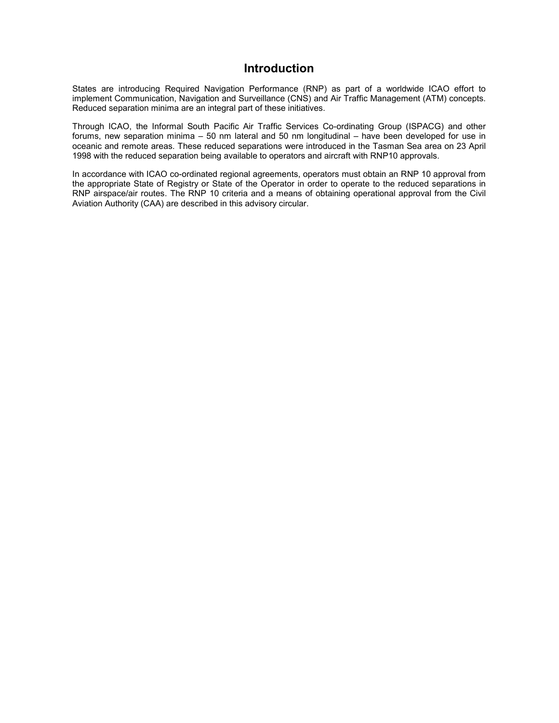## **Introduction**

States are introducing Required Navigation Performance (RNP) as part of a worldwide ICAO effort to implement Communication, Navigation and Surveillance (CNS) and Air Traffic Management (ATM) concepts. Reduced separation minima are an integral part of these initiatives.

Through ICAO, the Informal South Pacific Air Traffic Services Co-ordinating Group (ISPACG) and other forums, new separation minima – 50 nm lateral and 50 nm longitudinal – have been developed for use in oceanic and remote areas. These reduced separations were introduced in the Tasman Sea area on 23 April 1998 with the reduced separation being available to operators and aircraft with RNP10 approvals.

In accordance with ICAO co-ordinated regional agreements, operators must obtain an RNP 10 approval from the appropriate State of Registry or State of the Operator in order to operate to the reduced separations in RNP airspace/air routes. The RNP 10 criteria and a means of obtaining operational approval from the Civil Aviation Authority (CAA) are described in this advisory circular.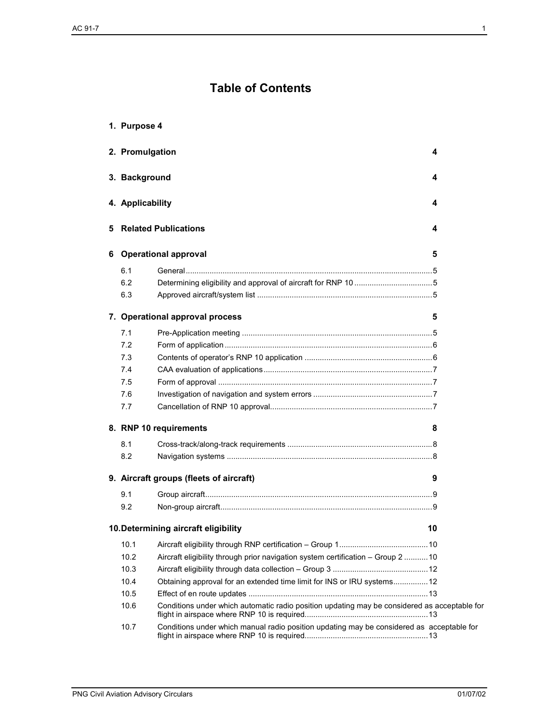## **Table of Contents**

|   | 1. Purpose 4     |                                                                                              |    |
|---|------------------|----------------------------------------------------------------------------------------------|----|
|   | 2. Promulgation  |                                                                                              | 4  |
|   | 3. Background    |                                                                                              | 4  |
|   | 4. Applicability |                                                                                              | 4  |
| 5 |                  | <b>Related Publications</b>                                                                  | 4  |
| 6 |                  | <b>Operational approval</b>                                                                  | 5  |
|   | 6.1              |                                                                                              |    |
|   | 6.2              |                                                                                              |    |
|   | 6.3              |                                                                                              |    |
|   |                  | 7. Operational approval process                                                              | 5  |
|   | 7.1              |                                                                                              |    |
|   | 7.2              |                                                                                              |    |
|   | 7.3              |                                                                                              |    |
|   | 7.4              |                                                                                              |    |
|   | 7.5              |                                                                                              |    |
|   | 7.6              |                                                                                              |    |
|   | 7.7              |                                                                                              |    |
|   |                  | 8. RNP 10 requirements                                                                       | 8  |
|   | 8.1              |                                                                                              |    |
|   | 8.2              |                                                                                              |    |
|   |                  | 9. Aircraft groups (fleets of aircraft)                                                      | 9  |
|   | 9.1              |                                                                                              |    |
|   | 9.2              |                                                                                              |    |
|   |                  | 10. Determining aircraft eligibility                                                         | 10 |
|   | 10.1             |                                                                                              |    |
|   | 10.2             | Aircraft eligibility through prior navigation system certification - Group 2 10              |    |
|   | 10.3             |                                                                                              |    |
|   | 10.4             | Obtaining approval for an extended time limit for INS or IRU systems12                       |    |
|   | 10.5             |                                                                                              |    |
|   | 10.6             | Conditions under which automatic radio position updating may be considered as acceptable for |    |
|   | 10.7             | Conditions under which manual radio position updating may be considered as acceptable for    |    |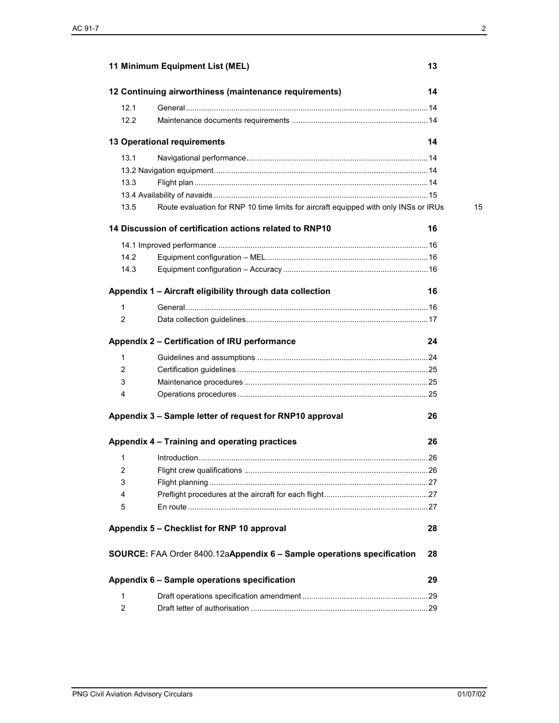|                                                                                                                                                                                                                                                                                                                                                                                                                                                                                                                                                                                                                                                                                                                                                 |                                              | 13 |
|-------------------------------------------------------------------------------------------------------------------------------------------------------------------------------------------------------------------------------------------------------------------------------------------------------------------------------------------------------------------------------------------------------------------------------------------------------------------------------------------------------------------------------------------------------------------------------------------------------------------------------------------------------------------------------------------------------------------------------------------------|----------------------------------------------|----|
|                                                                                                                                                                                                                                                                                                                                                                                                                                                                                                                                                                                                                                                                                                                                                 |                                              | 14 |
| 12.1                                                                                                                                                                                                                                                                                                                                                                                                                                                                                                                                                                                                                                                                                                                                            |                                              |    |
| 12.2                                                                                                                                                                                                                                                                                                                                                                                                                                                                                                                                                                                                                                                                                                                                            |                                              |    |
| 11 Minimum Equipment List (MEL)<br>12 Continuing airworthiness (maintenance requirements)<br><b>13 Operational requirements</b><br>13.1<br>13.3<br>Route evaluation for RNP 10 time limits for aircraft equipped with only INSs or IRUs<br>13.5<br>14 Discussion of certification actions related to RNP10<br>14.2<br>14.3<br>Appendix 1 - Aircraft eligibility through data collection<br>$\mathbf{1}$<br>2<br>Appendix 2 - Certification of IRU performance<br>1<br>2<br>3<br>4<br>Appendix 3 - Sample letter of request for RNP10 approval<br>Appendix 4 - Training and operating practices<br>1<br>2<br>3<br>4<br>5<br>Appendix 5 - Checklist for RNP 10 approval<br>SOURCE: FAA Order 8400.12aAppendix 6 - Sample operations specification | 14                                           |    |
|                                                                                                                                                                                                                                                                                                                                                                                                                                                                                                                                                                                                                                                                                                                                                 |                                              |    |
|                                                                                                                                                                                                                                                                                                                                                                                                                                                                                                                                                                                                                                                                                                                                                 |                                              |    |
|                                                                                                                                                                                                                                                                                                                                                                                                                                                                                                                                                                                                                                                                                                                                                 |                                              |    |
|                                                                                                                                                                                                                                                                                                                                                                                                                                                                                                                                                                                                                                                                                                                                                 |                                              |    |
|                                                                                                                                                                                                                                                                                                                                                                                                                                                                                                                                                                                                                                                                                                                                                 |                                              |    |
|                                                                                                                                                                                                                                                                                                                                                                                                                                                                                                                                                                                                                                                                                                                                                 |                                              | 16 |
|                                                                                                                                                                                                                                                                                                                                                                                                                                                                                                                                                                                                                                                                                                                                                 |                                              |    |
|                                                                                                                                                                                                                                                                                                                                                                                                                                                                                                                                                                                                                                                                                                                                                 |                                              |    |
|                                                                                                                                                                                                                                                                                                                                                                                                                                                                                                                                                                                                                                                                                                                                                 |                                              |    |
|                                                                                                                                                                                                                                                                                                                                                                                                                                                                                                                                                                                                                                                                                                                                                 |                                              | 16 |
|                                                                                                                                                                                                                                                                                                                                                                                                                                                                                                                                                                                                                                                                                                                                                 |                                              |    |
|                                                                                                                                                                                                                                                                                                                                                                                                                                                                                                                                                                                                                                                                                                                                                 |                                              |    |
|                                                                                                                                                                                                                                                                                                                                                                                                                                                                                                                                                                                                                                                                                                                                                 |                                              | 24 |
|                                                                                                                                                                                                                                                                                                                                                                                                                                                                                                                                                                                                                                                                                                                                                 |                                              |    |
|                                                                                                                                                                                                                                                                                                                                                                                                                                                                                                                                                                                                                                                                                                                                                 |                                              |    |
|                                                                                                                                                                                                                                                                                                                                                                                                                                                                                                                                                                                                                                                                                                                                                 |                                              |    |
|                                                                                                                                                                                                                                                                                                                                                                                                                                                                                                                                                                                                                                                                                                                                                 |                                              |    |
|                                                                                                                                                                                                                                                                                                                                                                                                                                                                                                                                                                                                                                                                                                                                                 |                                              | 26 |
|                                                                                                                                                                                                                                                                                                                                                                                                                                                                                                                                                                                                                                                                                                                                                 |                                              | 26 |
|                                                                                                                                                                                                                                                                                                                                                                                                                                                                                                                                                                                                                                                                                                                                                 |                                              |    |
|                                                                                                                                                                                                                                                                                                                                                                                                                                                                                                                                                                                                                                                                                                                                                 |                                              | 26 |
|                                                                                                                                                                                                                                                                                                                                                                                                                                                                                                                                                                                                                                                                                                                                                 |                                              |    |
|                                                                                                                                                                                                                                                                                                                                                                                                                                                                                                                                                                                                                                                                                                                                                 |                                              |    |
|                                                                                                                                                                                                                                                                                                                                                                                                                                                                                                                                                                                                                                                                                                                                                 |                                              |    |
|                                                                                                                                                                                                                                                                                                                                                                                                                                                                                                                                                                                                                                                                                                                                                 |                                              | 28 |
|                                                                                                                                                                                                                                                                                                                                                                                                                                                                                                                                                                                                                                                                                                                                                 |                                              | 28 |
|                                                                                                                                                                                                                                                                                                                                                                                                                                                                                                                                                                                                                                                                                                                                                 |                                              | 29 |
|                                                                                                                                                                                                                                                                                                                                                                                                                                                                                                                                                                                                                                                                                                                                                 | Appendix 6 - Sample operations specification |    |
| 1                                                                                                                                                                                                                                                                                                                                                                                                                                                                                                                                                                                                                                                                                                                                               |                                              |    |
| 2                                                                                                                                                                                                                                                                                                                                                                                                                                                                                                                                                                                                                                                                                                                                               |                                              |    |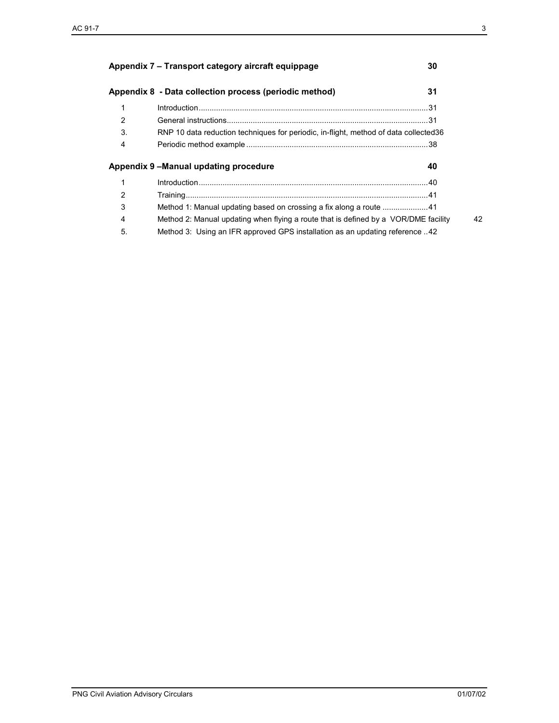| Appendix 7 – Transport category aircraft equippage |                                                                                       |  |
|----------------------------------------------------|---------------------------------------------------------------------------------------|--|
|                                                    | Appendix 8 - Data collection process (periodic method)<br>31                          |  |
| 1                                                  |                                                                                       |  |
| 2                                                  |                                                                                       |  |
| 3.                                                 | RNP 10 data reduction techniques for periodic, in-flight, method of data collected 36 |  |
| 4                                                  |                                                                                       |  |
|                                                    | Appendix 9 - Manual updating procedure<br>40                                          |  |
| 1                                                  |                                                                                       |  |
| 2                                                  |                                                                                       |  |
| 3                                                  | Method 1: Manual updating based on crossing a fix along a route 41                    |  |
| 4                                                  |                                                                                       |  |
|                                                    | Method 2: Manual updating when flying a route that is defined by a VOR/DME facility   |  |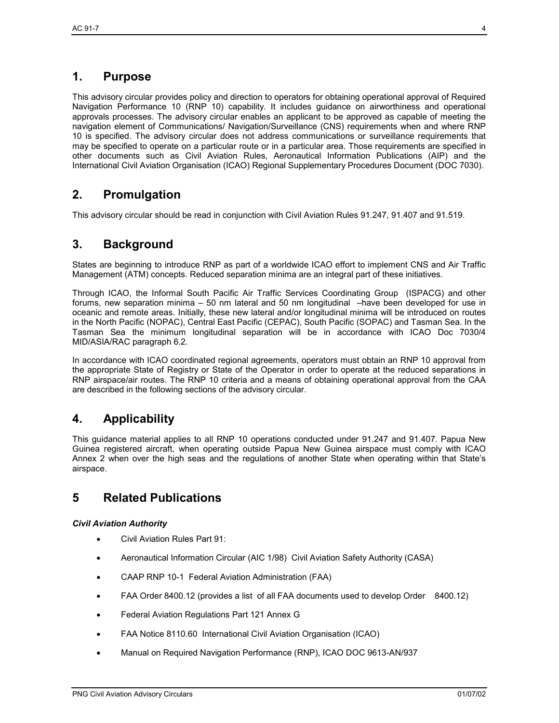## **1. Purpose**

This advisory circular provides policy and direction to operators for obtaining operational approval of Required Navigation Performance 10 (RNP 10) capability. It includes guidance on airworthiness and operational approvals processes. The advisory circular enables an applicant to be approved as capable of meeting the navigation element of Communications/ Navigation/Surveillance (CNS) requirements when and where RNP 10 is specified. The advisory circular does not address communications or surveillance requirements that may be specified to operate on a particular route or in a particular area. Those requirements are specified in other documents such as Civil Aviation Rules, Aeronautical Information Publications (AIP) and the International Civil Aviation Organisation (ICAO) Regional Supplementary Procedures Document (DOC 7030).

## **2. Promulgation**

This advisory circular should be read in conjunction with Civil Aviation Rules 91.247, 91.407 and 91.519.

## **3. Background**

States are beginning to introduce RNP as part of a worldwide ICAO effort to implement CNS and Air Traffic Management (ATM) concepts. Reduced separation minima are an integral part of these initiatives.

Through ICAO, the Informal South Pacific Air Traffic Services Coordinating Group (ISPACG) and other forums, new separation minima – 50 nm lateral and 50 nm longitudinal –have been developed for use in oceanic and remote areas. Initially, these new lateral and/or longitudinal minima will be introduced on routes in the North Pacific (NOPAC), Central East Pacific (CEPAC), South Pacific (SOPAC) and Tasman Sea. In the Tasman Sea the minimum longitudinal separation will be in accordance with ICAO Doc 7030/4 MID/ASIA/RAC paragraph 6.2.

In accordance with ICAO coordinated regional agreements, operators must obtain an RNP 10 approval from the appropriate State of Registry or State of the Operator in order to operate at the reduced separations in RNP airspace/air routes. The RNP 10 criteria and a means of obtaining operational approval from the CAA are described in the following sections of the advisory circular.

## **4. Applicability**

This guidance material applies to all RNP 10 operations conducted under 91.247 and 91.407. Papua New Guinea registered aircraft, when operating outside Papua New Guinea airspace must comply with ICAO Annex 2 when over the high seas and the regulations of another State when operating within that State's airspace.

## **5 Related Publications**

#### *Civil Aviation Authority*

- Civil Aviation Rules Part 91:
- Aeronautical Information Circular (AIC 1/98) Civil Aviation Safety Authority (CASA)
- CAAP RNP 10-1 Federal Aviation Administration (FAA)
- FAA Order 8400.12 (provides a list of all FAA documents used to develop Order 8400.12)
- Federal Aviation Regulations Part 121 Annex G
- FAA Notice 8110.60 International Civil Aviation Organisation (ICAO)
- Manual on Required Navigation Performance (RNP), ICAO DOC 9613-AN/937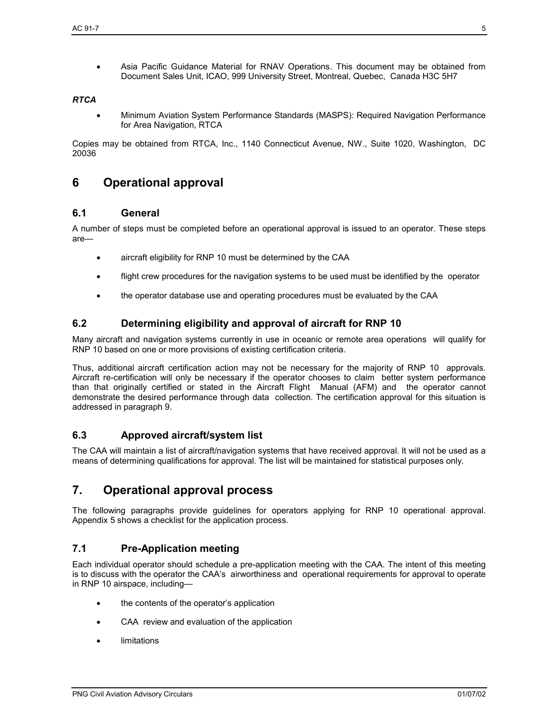• Asia Pacific Guidance Material for RNAV Operations. This document may be obtained from Document Sales Unit, ICAO, 999 University Street, Montreal, Quebec, Canada H3C 5H7

#### *RTCA*

• Minimum Aviation System Performance Standards (MASPS): Required Navigation Performance for Area Navigation, RTCA

Copies may be obtained from RTCA, Inc., 1140 Connecticut Avenue, NW., Suite 1020, Washington, DC 20036

## **6 Operational approval**

#### **6.1 General**

A number of steps must be completed before an operational approval is issued to an operator. These steps are—

- aircraft eligibility for RNP 10 must be determined by the CAA
- flight crew procedures for the navigation systems to be used must be identified by the operator
- the operator database use and operating procedures must be evaluated by the CAA

#### **6.2 Determining eligibility and approval of aircraft for RNP 10**

Many aircraft and navigation systems currently in use in oceanic or remote area operations will qualify for RNP 10 based on one or more provisions of existing certification criteria.

Thus, additional aircraft certification action may not be necessary for the majority of RNP 10 approvals. Aircraft re-certification will only be necessary if the operator chooses to claim better system performance than that originally certified or stated in the Aircraft Flight Manual (AFM) and the operator cannot demonstrate the desired performance through data collection. The certification approval for this situation is addressed in paragraph 9.

#### **6.3 Approved aircraft/system list**

The CAA will maintain a list of aircraft/navigation systems that have received approval. It will not be used as a means of determining qualifications for approval. The list will be maintained for statistical purposes only.

## **7. Operational approval process**

The following paragraphs provide guidelines for operators applying for RNP 10 operational approval. Appendix 5 shows a checklist for the application process.

#### **7.1 Pre-Application meeting**

Each individual operator should schedule a pre-application meeting with the CAA. The intent of this meeting is to discuss with the operator the CAA's airworthiness and operational requirements for approval to operate in RNP 10 airspace, including—

- the contents of the operator's application
- CAA review and evaluation of the application
- **limitations**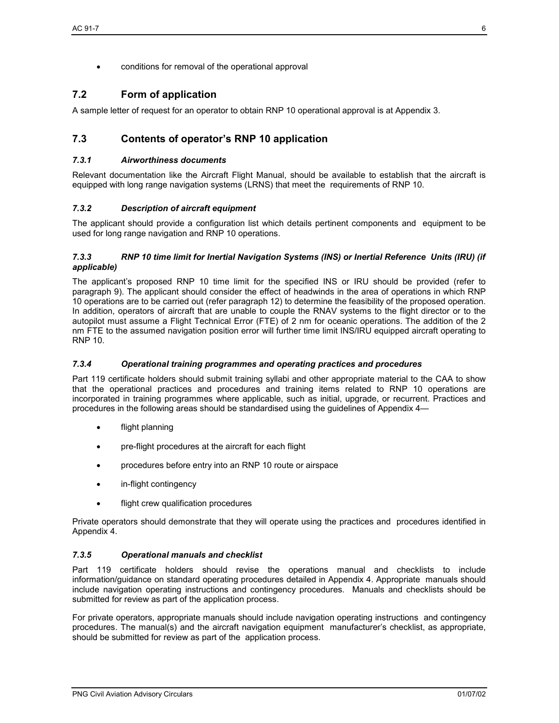• conditions for removal of the operational approval

#### **7.2 Form of application**

A sample letter of request for an operator to obtain RNP 10 operational approval is at Appendix 3.

#### **7.3 Contents of operator's RNP 10 application**

#### *7.3.1 Airworthiness documents*

Relevant documentation like the Aircraft Flight Manual, should be available to establish that the aircraft is equipped with long range navigation systems (LRNS) that meet the requirements of RNP 10.

#### *7.3.2 Description of aircraft equipment*

The applicant should provide a configuration list which details pertinent components and equipment to be used for long range navigation and RNP 10 operations.

#### *7.3.3 RNP 10 time limit for Inertial Navigation Systems (INS) or Inertial Reference Units (IRU) (if applicable)*

The applicant's proposed RNP 10 time limit for the specified INS or IRU should be provided (refer to paragraph 9). The applicant should consider the effect of headwinds in the area of operations in which RNP 10 operations are to be carried out (refer paragraph 12) to determine the feasibility of the proposed operation. In addition, operators of aircraft that are unable to couple the RNAV systems to the flight director or to the autopilot must assume a Flight Technical Error (FTE) of 2 nm for oceanic operations. The addition of the 2 nm FTE to the assumed navigation position error will further time limit INS/IRU equipped aircraft operating to RNP 10.

#### *7.3.4 Operational training programmes and operating practices and procedures*

Part 119 certificate holders should submit training syllabi and other appropriate material to the CAA to show that the operational practices and procedures and training items related to RNP 10 operations are incorporated in training programmes where applicable, such as initial, upgrade, or recurrent. Practices and procedures in the following areas should be standardised using the guidelines of Appendix 4—

- flight planning
- pre-flight procedures at the aircraft for each flight
- procedures before entry into an RNP 10 route or airspace
- in-flight contingency
- flight crew qualification procedures

Private operators should demonstrate that they will operate using the practices and procedures identified in Appendix 4.

#### *7.3.5 Operational manuals and checklist*

Part 119 certificate holders should revise the operations manual and checklists to include information/guidance on standard operating procedures detailed in Appendix 4. Appropriate manuals should include navigation operating instructions and contingency procedures. Manuals and checklists should be submitted for review as part of the application process.

For private operators, appropriate manuals should include navigation operating instructions and contingency procedures. The manual(s) and the aircraft navigation equipment manufacturer's checklist, as appropriate, should be submitted for review as part of the application process.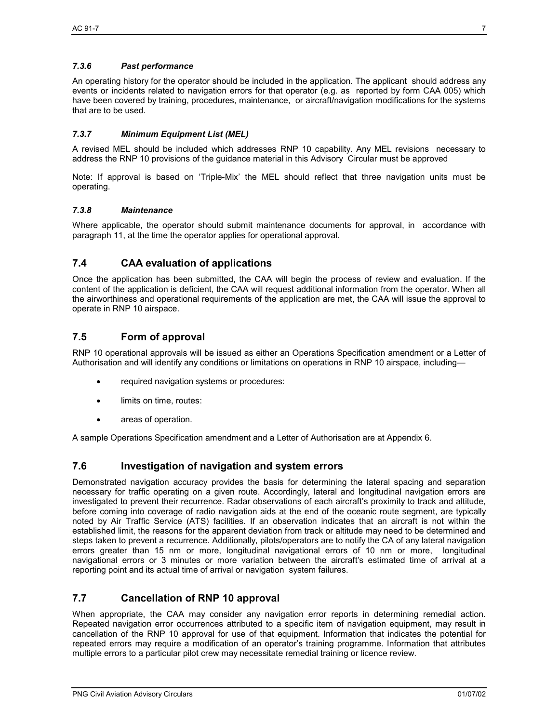#### *7.3.6 Past performance*

An operating history for the operator should be included in the application. The applicant should address any events or incidents related to navigation errors for that operator (e.g. as reported by form CAA 005) which have been covered by training, procedures, maintenance, or aircraft/navigation modifications for the systems that are to be used.

#### *7.3.7 Minimum Equipment List (MEL)*

A revised MEL should be included which addresses RNP 10 capability. Any MEL revisions necessary to address the RNP 10 provisions of the guidance material in this Advisory Circular must be approved

Note: If approval is based on 'Triple-Mix' the MEL should reflect that three navigation units must be operating.

#### *7.3.8 Maintenance*

Where applicable, the operator should submit maintenance documents for approval, in accordance with paragraph 11, at the time the operator applies for operational approval.

#### **7.4 CAA evaluation of applications**

Once the application has been submitted, the CAA will begin the process of review and evaluation. If the content of the application is deficient, the CAA will request additional information from the operator. When all the airworthiness and operational requirements of the application are met, the CAA will issue the approval to operate in RNP 10 airspace.

#### **7.5 Form of approval**

RNP 10 operational approvals will be issued as either an Operations Specification amendment or a Letter of Authorisation and will identify any conditions or limitations on operations in RNP 10 airspace, including—

- required navigation systems or procedures:
- limits on time, routes:
- areas of operation.

A sample Operations Specification amendment and a Letter of Authorisation are at Appendix 6.

#### **7.6 Investigation of navigation and system errors**

Demonstrated navigation accuracy provides the basis for determining the lateral spacing and separation necessary for traffic operating on a given route. Accordingly, lateral and longitudinal navigation errors are investigated to prevent their recurrence. Radar observations of each aircraft's proximity to track and altitude, before coming into coverage of radio navigation aids at the end of the oceanic route segment, are typically noted by Air Traffic Service (ATS) facilities. If an observation indicates that an aircraft is not within the established limit, the reasons for the apparent deviation from track or altitude may need to be determined and steps taken to prevent a recurrence. Additionally, pilots/operators are to notify the CA of any lateral navigation errors greater than 15 nm or more, longitudinal navigational errors of 10 nm or more, longitudinal navigational errors or 3 minutes or more variation between the aircraft's estimated time of arrival at a reporting point and its actual time of arrival or navigation system failures.

#### **7.7 Cancellation of RNP 10 approval**

When appropriate, the CAA may consider any navigation error reports in determining remedial action. Repeated navigation error occurrences attributed to a specific item of navigation equipment, may result in cancellation of the RNP 10 approval for use of that equipment. Information that indicates the potential for repeated errors may require a modification of an operator's training programme. Information that attributes multiple errors to a particular pilot crew may necessitate remedial training or licence review.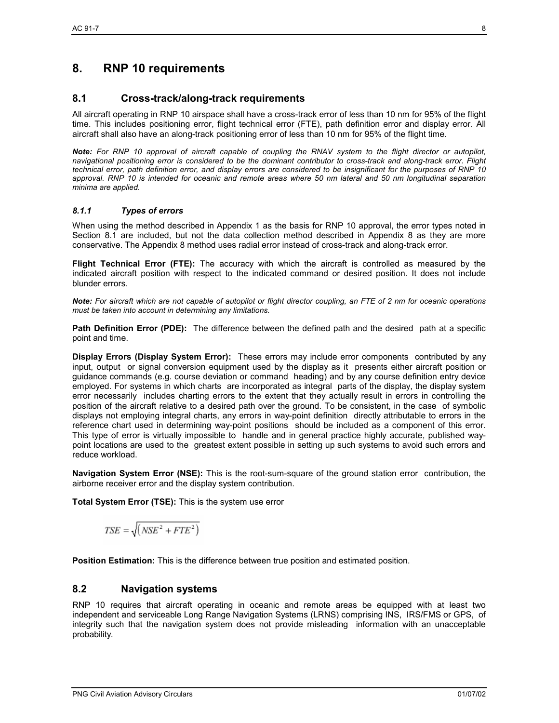## **8. RNP 10 requirements**

#### **8.1 Cross-track/along-track requirements**

All aircraft operating in RNP 10 airspace shall have a cross-track error of less than 10 nm for 95% of the flight time. This includes positioning error, flight technical error (FTE), path definition error and display error. All aircraft shall also have an along-track positioning error of less than 10 nm for 95% of the flight time.

*Note: For RNP 10 approval of aircraft capable of coupling the RNAV system to the flight director or autopilot, navigational positioning error is considered to be the dominant contributor to cross-track and along-track error. Flight technical error, path definition error, and display errors are considered to be insignificant for the purposes of RNP 10 approval. RNP 10 is intended for oceanic and remote areas where 50 nm lateral and 50 nm longitudinal separation minima are applied.* 

#### *8.1.1 Types of errors*

When using the method described in Appendix 1 as the basis for RNP 10 approval, the error types noted in Section 8.1 are included, but not the data collection method described in Appendix 8 as they are more conservative. The Appendix 8 method uses radial error instead of cross-track and along-track error.

**Flight Technical Error (FTE):** The accuracy with which the aircraft is controlled as measured by the indicated aircraft position with respect to the indicated command or desired position. It does not include blunder errors.

*Note: For aircraft which are not capable of autopilot or flight director coupling, an FTE of 2 nm for oceanic operations must be taken into account in determining any limitations.* 

**Path Definition Error (PDE):** The difference between the defined path and the desired path at a specific point and time.

**Display Errors (Display System Error):** These errors may include error components contributed by any input, output or signal conversion equipment used by the display as it presents either aircraft position or guidance commands (e.g. course deviation or command heading) and by any course definition entry device employed. For systems in which charts are incorporated as integral parts of the display, the display system error necessarily includes charting errors to the extent that they actually result in errors in controlling the position of the aircraft relative to a desired path over the ground. To be consistent, in the case of symbolic displays not employing integral charts, any errors in way-point definition directly attributable to errors in the reference chart used in determining way-point positions should be included as a component of this error. This type of error is virtually impossible to handle and in general practice highly accurate, published waypoint locations are used to the greatest extent possible in setting up such systems to avoid such errors and reduce workload.

**Navigation System Error (NSE):** This is the root-sum-square of the ground station error contribution, the airborne receiver error and the display system contribution.

**Total System Error (TSE):** This is the system use error

$$
TSE = \sqrt{\left(NSE^2 + FTE^2\right)}
$$

**Position Estimation:** This is the difference between true position and estimated position.

#### **8.2 Navigation systems**

RNP 10 requires that aircraft operating in oceanic and remote areas be equipped with at least two independent and serviceable Long Range Navigation Systems (LRNS) comprising INS, IRS/FMS or GPS, of integrity such that the navigation system does not provide misleading information with an unacceptable probability.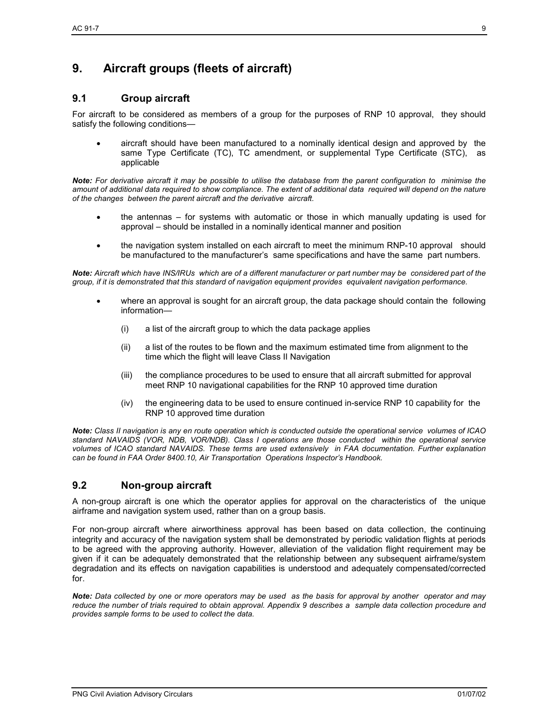## **9. Aircraft groups (fleets of aircraft)**

#### **9.1 Group aircraft**

For aircraft to be considered as members of a group for the purposes of RNP 10 approval, they should satisfy the following conditions—

• aircraft should have been manufactured to a nominally identical design and approved by the same Type Certificate (TC), TC amendment, or supplemental Type Certificate (STC), as applicable

*Note: For derivative aircraft it may be possible to utilise the database from the parent configuration to minimise the*  amount of additional data required to show compliance. The extent of additional data required will depend on the nature *of the changes between the parent aircraft and the derivative aircraft.* 

- the antennas for systems with automatic or those in which manually updating is used for approval – should be installed in a nominally identical manner and position
- the navigation system installed on each aircraft to meet the minimum RNP-10 approval should be manufactured to the manufacturer's same specifications and have the same part numbers.

*Note: Aircraft which have INS/IRUs which are of a different manufacturer or part number may be considered part of the group, if it is demonstrated that this standard of navigation equipment provides equivalent navigation performance.* 

- where an approval is sought for an aircraft group, the data package should contain the following information—
	- (i) a list of the aircraft group to which the data package applies
	- (ii) a list of the routes to be flown and the maximum estimated time from alignment to the time which the flight will leave Class II Navigation
	- (iii) the compliance procedures to be used to ensure that all aircraft submitted for approval meet RNP 10 navigational capabilities for the RNP 10 approved time duration
	- (iv) the engineering data to be used to ensure continued in-service RNP 10 capability for the RNP 10 approved time duration

*Note: Class II navigation is any en route operation which is conducted outside the operational service volumes of ICAO standard NAVAIDS (VOR, NDB, VOR/NDB). Class I operations are those conducted within the operational service volumes of ICAO standard NAVAIDS. These terms are used extensively in FAA documentation. Further explanation can be found in FAA Order 8400.10, Air Transportation Operations Inspector's Handbook.* 

#### **9.2 Non-group aircraft**

A non-group aircraft is one which the operator applies for approval on the characteristics of the unique airframe and navigation system used, rather than on a group basis.

For non-group aircraft where airworthiness approval has been based on data collection, the continuing integrity and accuracy of the navigation system shall be demonstrated by periodic validation flights at periods to be agreed with the approving authority. However, alleviation of the validation flight requirement may be given if it can be adequately demonstrated that the relationship between any subsequent airframe/system degradation and its effects on navigation capabilities is understood and adequately compensated/corrected for.

*Note: Data collected by one or more operators may be used as the basis for approval by another operator and may reduce the number of trials required to obtain approval. Appendix 9 describes a sample data collection procedure and provides sample forms to be used to collect the data.*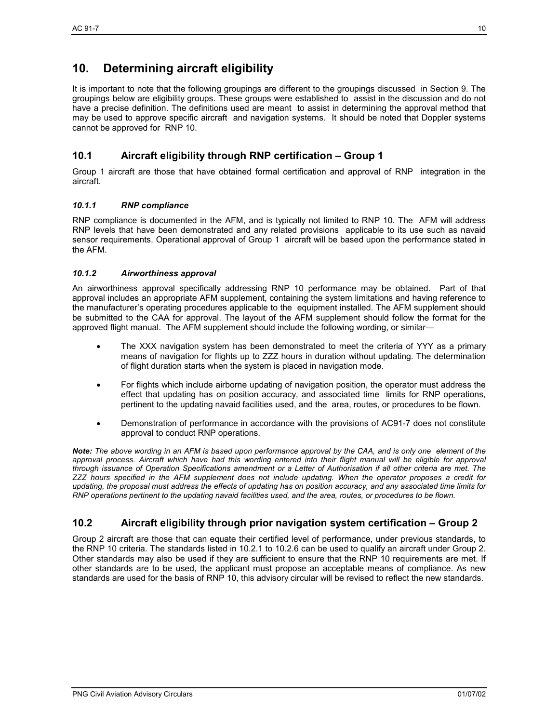## **10. Determining aircraft eligibility**

It is important to note that the following groupings are different to the groupings discussed in Section 9. The groupings below are eligibility groups. These groups were established to assist in the discussion and do not have a precise definition. The definitions used are meant to assist in determining the approval method that may be used to approve specific aircraft and navigation systems. It should be noted that Doppler systems cannot be approved for RNP 10.

### **10.1 Aircraft eligibility through RNP certification – Group 1**

Group 1 aircraft are those that have obtained formal certification and approval of RNP integration in the aircraft.

#### *10.1.1 RNP compliance*

RNP compliance is documented in the AFM, and is typically not limited to RNP 10. The AFM will address RNP levels that have been demonstrated and any related provisions applicable to its use such as navaid sensor requirements. Operational approval of Group 1 aircraft will be based upon the performance stated in the AFM.

#### *10.1.2 Airworthiness approval*

An airworthiness approval specifically addressing RNP 10 performance may be obtained. Part of that approval includes an appropriate AFM supplement, containing the system limitations and having reference to the manufacturer's operating procedures applicable to the equipment installed. The AFM supplement should be submitted to the CAA for approval. The layout of the AFM supplement should follow the format for the approved flight manual. The AFM supplement should include the following wording, or similar—

- The XXX navigation system has been demonstrated to meet the criteria of YYY as a primary means of navigation for flights up to ZZZ hours in duration without updating. The determination of flight duration starts when the system is placed in navigation mode.
- For flights which include airborne updating of navigation position, the operator must address the effect that updating has on position accuracy, and associated time limits for RNP operations, pertinent to the updating navaid facilities used, and the area, routes, or procedures to be flown.
- Demonstration of performance in accordance with the provisions of AC91-7 does not constitute approval to conduct RNP operations.

*Note: The above wording in an AFM is based upon performance approval by the CAA, and is only one element of the*  approval process. Aircraft which have had this wording entered into their flight manual will be eligible for approval *through issuance of Operation Specifications amendment or a Letter of Authorisation if all other criteria are met. The ZZZ hours specified in the AFM supplement does not include updating. When the operator proposes a credit for updating, the proposal must address the effects of updating has on position accuracy, and any associated time limits for RNP operations pertinent to the updating navaid facilities used, and the area, routes, or procedures to be flown.* 

## **10.2 Aircraft eligibility through prior navigation system certification – Group 2**

Group 2 aircraft are those that can equate their certified level of performance, under previous standards, to the RNP 10 criteria. The standards listed in 10.2.1 to 10.2.6 can be used to qualify an aircraft under Group 2. Other standards may also be used if they are sufficient to ensure that the RNP 10 requirements are met. If other standards are to be used, the applicant must propose an acceptable means of compliance. As new standards are used for the basis of RNP 10, this advisory circular will be revised to reflect the new standards.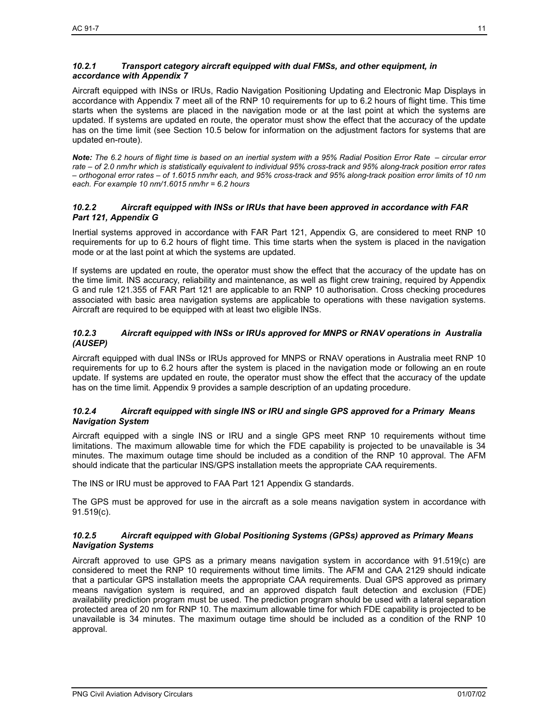#### *10.2.1 Transport category aircraft equipped with dual FMSs, and other equipment, in accordance with Appendix 7*

Aircraft equipped with INSs or IRUs, Radio Navigation Positioning Updating and Electronic Map Displays in accordance with Appendix 7 meet all of the RNP 10 requirements for up to 6.2 hours of flight time. This time starts when the systems are placed in the navigation mode or at the last point at which the systems are updated. If systems are updated en route, the operator must show the effect that the accuracy of the update has on the time limit (see Section 10.5 below for information on the adjustment factors for systems that are updated en-route).

*Note: The 6.2 hours of flight time is based on an inertial system with a 95% Radial Position Error Rate – circular error rate – of 2.0 nm/hr which is statistically equivalent to individual 95% cross-track and 95% along-track position error rates – orthogonal error rates – of 1.6015 nm/hr each, and 95% cross-track and 95% along-track position error limits of 10 nm each. For example 10 nm/1.6015 nm/hr = 6.2 hours* 

#### *10.2.2 Aircraft equipped with INSs or IRUs that have been approved in accordance with FAR Part 121, Appendix G*

Inertial systems approved in accordance with FAR Part 121, Appendix G, are considered to meet RNP 10 requirements for up to 6.2 hours of flight time. This time starts when the system is placed in the navigation mode or at the last point at which the systems are updated.

If systems are updated en route, the operator must show the effect that the accuracy of the update has on the time limit. INS accuracy, reliability and maintenance, as well as flight crew training, required by Appendix G and rule 121.355 of FAR Part 121 are applicable to an RNP 10 authorisation. Cross checking procedures associated with basic area navigation systems are applicable to operations with these navigation systems. Aircraft are required to be equipped with at least two eligible INSs.

#### *10.2.3 Aircraft equipped with INSs or IRUs approved for MNPS or RNAV operations in Australia (AUSEP)*

Aircraft equipped with dual INSs or IRUs approved for MNPS or RNAV operations in Australia meet RNP 10 requirements for up to 6.2 hours after the system is placed in the navigation mode or following an en route update. If systems are updated en route, the operator must show the effect that the accuracy of the update has on the time limit. Appendix 9 provides a sample description of an updating procedure.

#### *10.2.4 Aircraft equipped with single INS or IRU and single GPS approved for a Primary Means Navigation System*

Aircraft equipped with a single INS or IRU and a single GPS meet RNP 10 requirements without time limitations. The maximum allowable time for which the FDE capability is projected to be unavailable is 34 minutes. The maximum outage time should be included as a condition of the RNP 10 approval. The AFM should indicate that the particular INS/GPS installation meets the appropriate CAA requirements.

The INS or IRU must be approved to FAA Part 121 Appendix G standards.

The GPS must be approved for use in the aircraft as a sole means navigation system in accordance with 91.519(c).

#### *10.2.5 Aircraft equipped with Global Positioning Systems (GPSs) approved as Primary Means Navigation Systems*

Aircraft approved to use GPS as a primary means navigation system in accordance with 91.519(c) are considered to meet the RNP 10 requirements without time limits. The AFM and CAA 2129 should indicate that a particular GPS installation meets the appropriate CAA requirements. Dual GPS approved as primary means navigation system is required, and an approved dispatch fault detection and exclusion (FDE) availability prediction program must be used. The prediction program should be used with a lateral separation protected area of 20 nm for RNP 10. The maximum allowable time for which FDE capability is projected to be unavailable is 34 minutes. The maximum outage time should be included as a condition of the RNP 10 approval.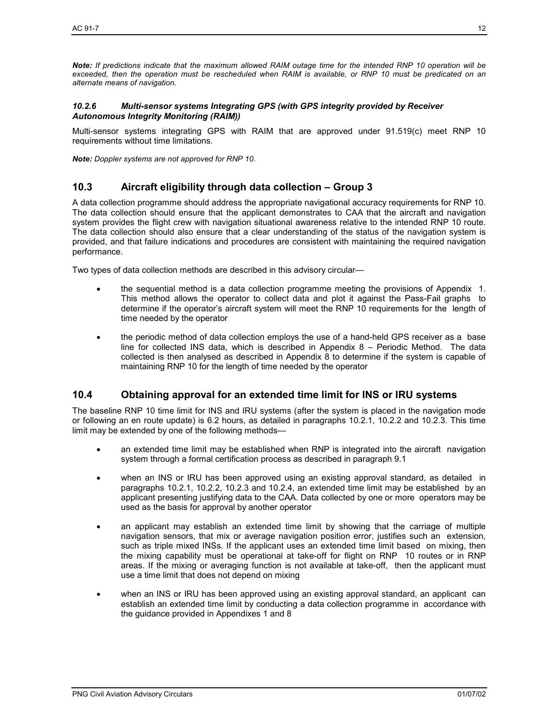*Note: If predictions indicate that the maximum allowed RAIM outage time for the intended RNP 10 operation will be exceeded, then the operation must be rescheduled when RAIM is available, or RNP 10 must be predicated on an alternate means of navigation.* 

#### *10.2.6 Multi-sensor systems Integrating GPS (with GPS integrity provided by Receiver Autonomous Integrity Monitoring (RAIM))*

Multi-sensor systems integrating GPS with RAIM that are approved under 91.519(c) meet RNP 10 requirements without time limitations.

*Note: Doppler systems are not approved for RNP 10.* 

#### **10.3 Aircraft eligibility through data collection – Group 3**

A data collection programme should address the appropriate navigational accuracy requirements for RNP 10. The data collection should ensure that the applicant demonstrates to CAA that the aircraft and navigation system provides the flight crew with navigation situational awareness relative to the intended RNP 10 route. The data collection should also ensure that a clear understanding of the status of the navigation system is provided, and that failure indications and procedures are consistent with maintaining the required navigation performance.

Two types of data collection methods are described in this advisory circular—

- the sequential method is a data collection programme meeting the provisions of Appendix 1. This method allows the operator to collect data and plot it against the Pass-Fail graphs to determine if the operator's aircraft system will meet the RNP 10 requirements for the length of time needed by the operator
- the periodic method of data collection employs the use of a hand-held GPS receiver as a base line for collected INS data, which is described in Appendix 8 – Periodic Method. The data collected is then analysed as described in Appendix 8 to determine if the system is capable of maintaining RNP 10 for the length of time needed by the operator

#### **10.4 Obtaining approval for an extended time limit for INS or IRU systems**

The baseline RNP 10 time limit for INS and IRU systems (after the system is placed in the navigation mode or following an en route update) is 6.2 hours, as detailed in paragraphs 10.2.1, 10.2.2 and 10.2.3. This time limit may be extended by one of the following methods—

- an extended time limit may be established when RNP is integrated into the aircraft navigation system through a formal certification process as described in paragraph 9.1
- when an INS or IRU has been approved using an existing approval standard, as detailed in paragraphs 10.2.1, 10.2.2, 10.2.3 and 10.2.4, an extended time limit may be established by an applicant presenting justifying data to the CAA. Data collected by one or more operators may be used as the basis for approval by another operator
- an applicant may establish an extended time limit by showing that the carriage of multiple navigation sensors, that mix or average navigation position error, justifies such an extension, such as triple mixed INSs. If the applicant uses an extended time limit based on mixing, then the mixing capability must be operational at take-off for flight on RNP 10 routes or in RNP areas. If the mixing or averaging function is not available at take-off, then the applicant must use a time limit that does not depend on mixing
- when an INS or IRU has been approved using an existing approval standard, an applicant can establish an extended time limit by conducting a data collection programme in accordance with the guidance provided in Appendixes 1 and 8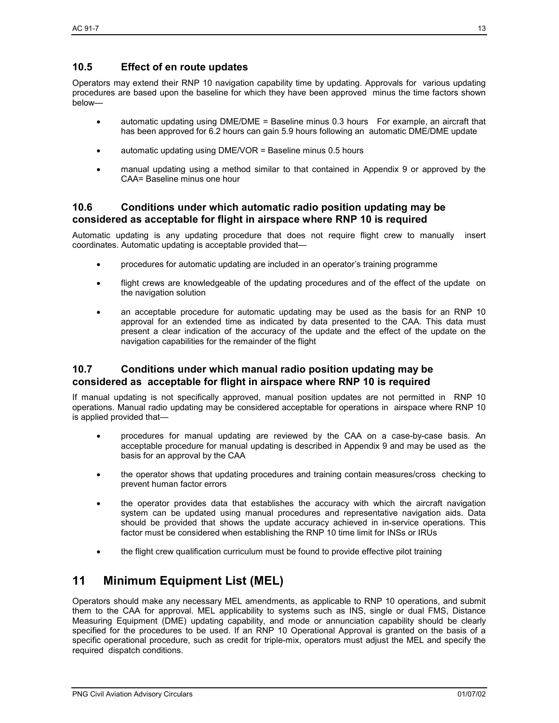#### **10.5 Effect of en route updates**

Operators may extend their RNP 10 navigation capability time by updating. Approvals for various updating procedures are based upon the baseline for which they have been approved minus the time factors shown below—

- automatic updating using DME/DME = Baseline minus 0.3 hours For example, an aircraft that has been approved for 6.2 hours can gain 5.9 hours following an automatic DME/DME update
- automatic updating using DME/VOR = Baseline minus 0.5 hours
- manual updating using a method similar to that contained in Appendix 9 or approved by the CAA= Baseline minus one hour

#### **10.6 Conditions under which automatic radio position updating may be considered as acceptable for flight in airspace where RNP 10 is required**

Automatic updating is any updating procedure that does not require flight crew to manually insert coordinates. Automatic updating is acceptable provided that—

- procedures for automatic updating are included in an operator's training programme
- flight crews are knowledgeable of the updating procedures and of the effect of the update on the navigation solution
- an acceptable procedure for automatic updating may be used as the basis for an RNP 10 approval for an extended time as indicated by data presented to the CAA. This data must present a clear indication of the accuracy of the update and the effect of the update on the navigation capabilities for the remainder of the flight

#### **10.7 Conditions under which manual radio position updating may be considered as acceptable for flight in airspace where RNP 10 is required**

If manual updating is not specifically approved, manual position updates are not permitted in RNP 10 operations. Manual radio updating may be considered acceptable for operations in airspace where RNP 10 is applied provided that—

- procedures for manual updating are reviewed by the CAA on a case-by-case basis. An acceptable procedure for manual updating is described in Appendix 9 and may be used as the basis for an approval by the CAA
- the operator shows that updating procedures and training contain measures/cross checking to prevent human factor errors
- the operator provides data that establishes the accuracy with which the aircraft navigation system can be updated using manual procedures and representative navigation aids. Data should be provided that shows the update accuracy achieved in in-service operations. This factor must be considered when establishing the RNP 10 time limit for INSs or IRUs
- the flight crew qualification curriculum must be found to provide effective pilot training

## **11 Minimum Equipment List (MEL)**

Operators should make any necessary MEL amendments, as applicable to RNP 10 operations, and submit them to the CAA for approval. MEL applicability to systems such as INS, single or dual FMS, Distance Measuring Equipment (DME) updating capability, and mode or annunciation capability should be clearly specified for the procedures to be used. If an RNP 10 Operational Approval is granted on the basis of a specific operational procedure, such as credit for triple-mix, operators must adjust the MEL and specify the required dispatch conditions.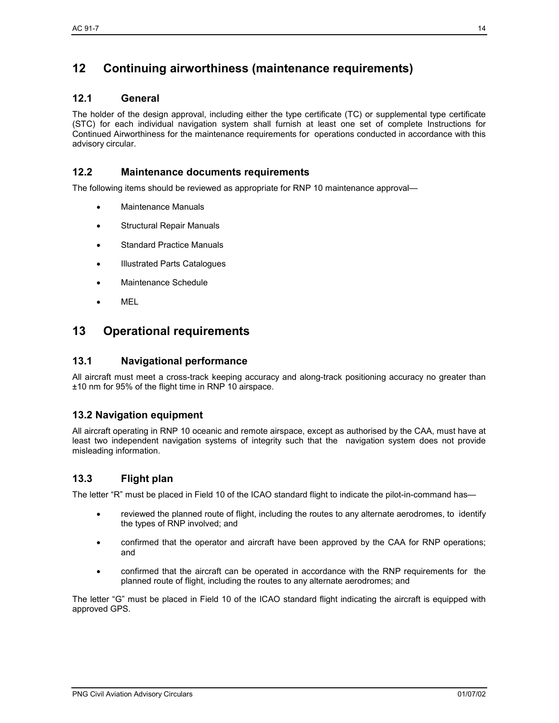## **12 Continuing airworthiness (maintenance requirements)**

#### **12.1 General**

The holder of the design approval, including either the type certificate (TC) or supplemental type certificate (STC) for each individual navigation system shall furnish at least one set of complete Instructions for Continued Airworthiness for the maintenance requirements for operations conducted in accordance with this advisory circular.

#### **12.2 Maintenance documents requirements**

The following items should be reviewed as appropriate for RNP 10 maintenance approval—

- Maintenance Manuals
- **Structural Repair Manuals**
- Standard Practice Manuals
- **Illustrated Parts Catalogues**
- Maintenance Schedule
- MEL

## **13 Operational requirements**

#### **13.1 Navigational performance**

All aircraft must meet a cross-track keeping accuracy and along-track positioning accuracy no greater than ±10 nm for 95% of the flight time in RNP 10 airspace.

#### **13.2 Navigation equipment**

All aircraft operating in RNP 10 oceanic and remote airspace, except as authorised by the CAA, must have at least two independent navigation systems of integrity such that the navigation system does not provide misleading information.

#### **13.3 Flight plan**

The letter "R" must be placed in Field 10 of the ICAO standard flight to indicate the pilot-in-command has—

- reviewed the planned route of flight, including the routes to any alternate aerodromes, to identify the types of RNP involved; and
- confirmed that the operator and aircraft have been approved by the CAA for RNP operations; and
- confirmed that the aircraft can be operated in accordance with the RNP requirements for the planned route of flight, including the routes to any alternate aerodromes; and

The letter "G" must be placed in Field 10 of the ICAO standard flight indicating the aircraft is equipped with approved GPS.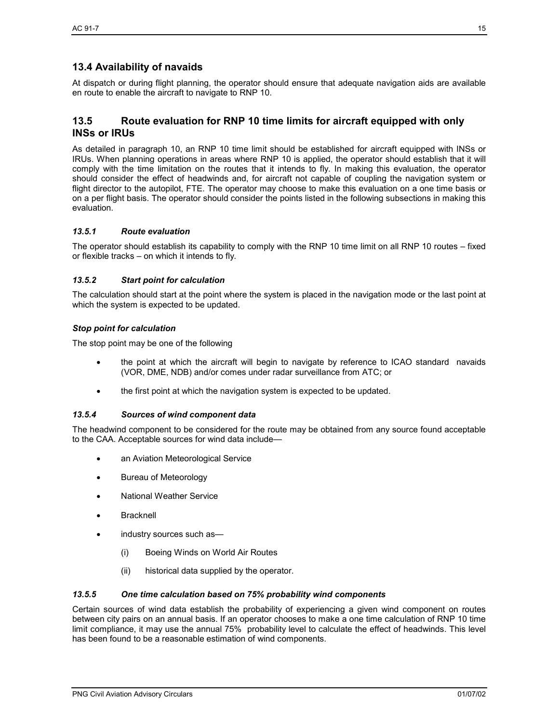#### **13.4 Availability of navaids**

At dispatch or during flight planning, the operator should ensure that adequate navigation aids are available en route to enable the aircraft to navigate to RNP 10.

#### **13.5 Route evaluation for RNP 10 time limits for aircraft equipped with only INSs or IRUs**

As detailed in paragraph 10, an RNP 10 time limit should be established for aircraft equipped with INSs or IRUs. When planning operations in areas where RNP 10 is applied, the operator should establish that it will comply with the time limitation on the routes that it intends to fly. In making this evaluation, the operator should consider the effect of headwinds and, for aircraft not capable of coupling the navigation system or flight director to the autopilot, FTE. The operator may choose to make this evaluation on a one time basis or on a per flight basis. The operator should consider the points listed in the following subsections in making this evaluation.

#### *13.5.1 Route evaluation*

The operator should establish its capability to comply with the RNP 10 time limit on all RNP 10 routes – fixed or flexible tracks – on which it intends to fly.

#### *13.5.2 Start point for calculation*

The calculation should start at the point where the system is placed in the navigation mode or the last point at which the system is expected to be updated.

#### *Stop point for calculation*

The stop point may be one of the following

- the point at which the aircraft will begin to navigate by reference to ICAO standard navaids (VOR, DME, NDB) and/or comes under radar surveillance from ATC; or
- the first point at which the navigation system is expected to be updated.

#### *13.5.4 Sources of wind component data*

The headwind component to be considered for the route may be obtained from any source found acceptable to the CAA. Acceptable sources for wind data include—

- an Aviation Meteorological Service
- Bureau of Meteorology
- National Weather Service
- **Bracknell**
- industry sources such as-
	- (i) Boeing Winds on World Air Routes
	- (ii) historical data supplied by the operator.

#### *13.5.5 One time calculation based on 75% probability wind components*

Certain sources of wind data establish the probability of experiencing a given wind component on routes between city pairs on an annual basis. If an operator chooses to make a one time calculation of RNP 10 time limit compliance, it may use the annual 75% probability level to calculate the effect of headwinds. This level has been found to be a reasonable estimation of wind components.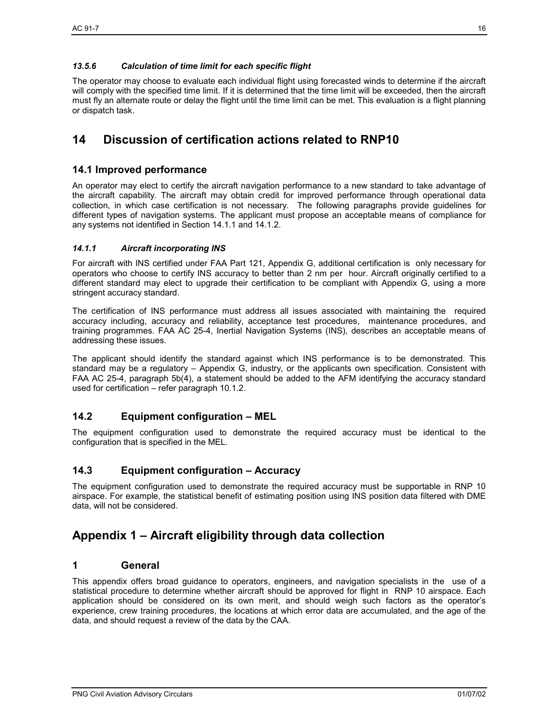#### *13.5.6 Calculation of time limit for each specific flight*

The operator may choose to evaluate each individual flight using forecasted winds to determine if the aircraft will comply with the specified time limit. If it is determined that the time limit will be exceeded, then the aircraft must fly an alternate route or delay the flight until the time limit can be met. This evaluation is a flight planning or dispatch task.

## **14 Discussion of certification actions related to RNP10**

#### **14.1 Improved performance**

An operator may elect to certify the aircraft navigation performance to a new standard to take advantage of the aircraft capability. The aircraft may obtain credit for improved performance through operational data collection, in which case certification is not necessary. The following paragraphs provide guidelines for different types of navigation systems. The applicant must propose an acceptable means of compliance for any systems not identified in Section 14.1.1 and 14.1.2.

#### *14.1.1 Aircraft incorporating INS*

For aircraft with INS certified under FAA Part 121, Appendix G, additional certification is only necessary for operators who choose to certify INS accuracy to better than 2 nm per hour. Aircraft originally certified to a different standard may elect to upgrade their certification to be compliant with Appendix G, using a more stringent accuracy standard.

The certification of INS performance must address all issues associated with maintaining the required accuracy including, accuracy and reliability, acceptance test procedures, maintenance procedures, and training programmes. FAA AC 25-4, Inertial Navigation Systems (INS), describes an acceptable means of addressing these issues.

The applicant should identify the standard against which INS performance is to be demonstrated. This standard may be a regulatory – Appendix G, industry, or the applicants own specification. Consistent with FAA AC 25-4, paragraph 5b(4), a statement should be added to the AFM identifying the accuracy standard used for certification – refer paragraph 10.1.2.

#### **14.2 Equipment configuration – MEL**

The equipment configuration used to demonstrate the required accuracy must be identical to the configuration that is specified in the MEL.

#### **14.3 Equipment configuration – Accuracy**

The equipment configuration used to demonstrate the required accuracy must be supportable in RNP 10 airspace. For example, the statistical benefit of estimating position using INS position data filtered with DME data, will not be considered.

## **Appendix 1 – Aircraft eligibility through data collection**

#### **1 General**

This appendix offers broad guidance to operators, engineers, and navigation specialists in the use of a statistical procedure to determine whether aircraft should be approved for flight in RNP 10 airspace. Each application should be considered on its own merit, and should weigh such factors as the operator's experience, crew training procedures, the locations at which error data are accumulated, and the age of the data, and should request a review of the data by the CAA.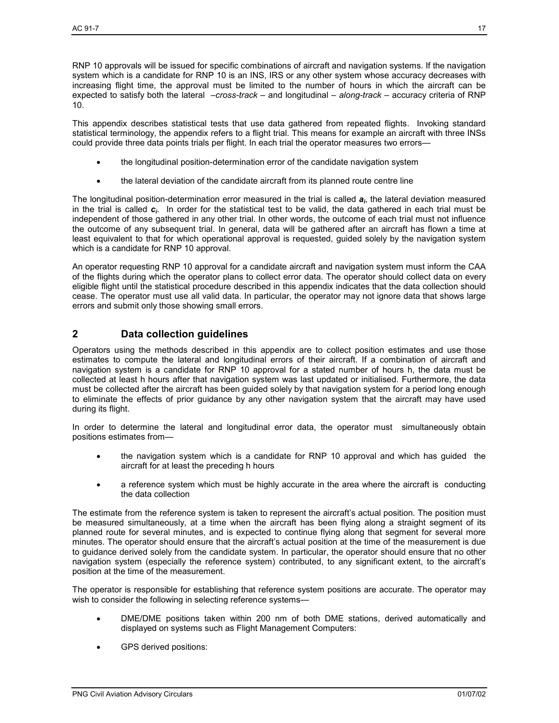RNP 10 approvals will be issued for specific combinations of aircraft and navigation systems. If the navigation system which is a candidate for RNP 10 is an INS, IRS or any other system whose accuracy decreases with increasing flight time, the approval must be limited to the number of hours in which the aircraft can be expected to satisfy both the lateral –*cross-track* – and longitudinal – *along-track* – accuracy criteria of RNP 10.

This appendix describes statistical tests that use data gathered from repeated flights. Invoking standard statistical terminology, the appendix refers to a flight trial. This means for example an aircraft with three INSs could provide three data points trials per flight. In each trial the operator measures two errors-

- the longitudinal position-determination error of the candidate navigation system
- the lateral deviation of the candidate aircraft from its planned route centre line

The longitudinal position-determination error measured in the trial is called *a<sup>i</sup>* , the lateral deviation measured in the trial is called *c<sup>i</sup>* . In order for the statistical test to be valid, the data gathered in each trial must be independent of those gathered in any other trial. In other words, the outcome of each trial must not influence the outcome of any subsequent trial. In general, data will be gathered after an aircraft has flown a time at least equivalent to that for which operational approval is requested, guided solely by the navigation system which is a candidate for RNP 10 approval.

An operator requesting RNP 10 approval for a candidate aircraft and navigation system must inform the CAA of the flights during which the operator plans to collect error data. The operator should collect data on every eligible flight until the statistical procedure described in this appendix indicates that the data collection should cease. The operator must use all valid data. In particular, the operator may not ignore data that shows large errors and submit only those showing small errors.

#### **2 Data collection guidelines**

Operators using the methods described in this appendix are to collect position estimates and use those estimates to compute the lateral and longitudinal errors of their aircraft. If a combination of aircraft and navigation system is a candidate for RNP 10 approval for a stated number of hours h, the data must be collected at least h hours after that navigation system was last updated or initialised. Furthermore, the data must be collected after the aircraft has been guided solely by that navigation system for a period long enough to eliminate the effects of prior guidance by any other navigation system that the aircraft may have used during its flight.

In order to determine the lateral and longitudinal error data, the operator must simultaneously obtain positions estimates from—

- the navigation system which is a candidate for RNP 10 approval and which has guided the aircraft for at least the preceding h hours
- a reference system which must be highly accurate in the area where the aircraft is conducting the data collection

The estimate from the reference system is taken to represent the aircraft's actual position. The position must be measured simultaneously, at a time when the aircraft has been flying along a straight segment of its planned route for several minutes, and is expected to continue flying along that segment for several more minutes. The operator should ensure that the aircraft's actual position at the time of the measurement is due to guidance derived solely from the candidate system. In particular, the operator should ensure that no other navigation system (especially the reference system) contributed, to any significant extent, to the aircraft's position at the time of the measurement.

The operator is responsible for establishing that reference system positions are accurate. The operator may wish to consider the following in selecting reference systems—

- DME/DME positions taken within 200 nm of both DME stations, derived automatically and displayed on systems such as Flight Management Computers:
- GPS derived positions: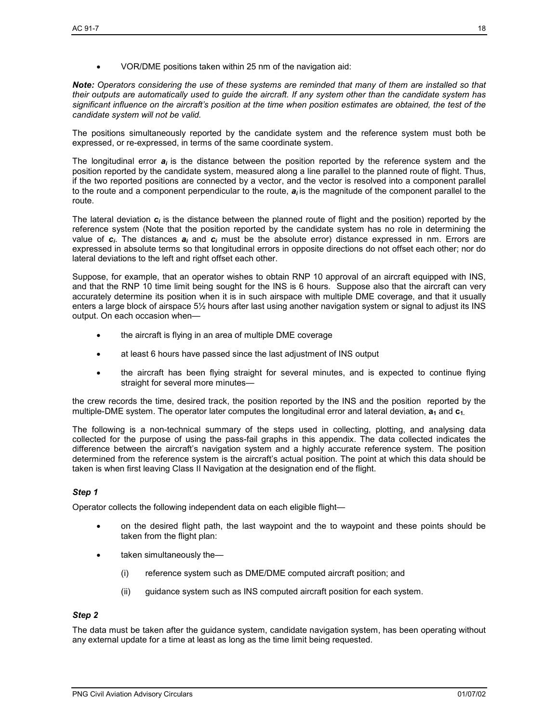• VOR/DME positions taken within 25 nm of the navigation aid:

*Note: Operators considering the use of these systems are reminded that many of them are installed so that their outputs are automatically used to guide the aircraft. If any system other than the candidate system has significant influence on the aircraft's position at the time when position estimates are obtained, the test of the candidate system will not be valid.* 

The positions simultaneously reported by the candidate system and the reference system must both be expressed, or re-expressed, in terms of the same coordinate system.

The longitudinal error  $a_i$  is the distance between the position reported by the reference system and the position reported by the candidate system, measured along a line parallel to the planned route of flight. Thus, if the two reported positions are connected by a vector, and the vector is resolved into a component parallel to the route and a component perpendicular to the route, *a<sup>i</sup>* is the magnitude of the component parallel to the route.

The lateral deviation  $c_i$  is the distance between the planned route of flight and the position) reported by the reference system (Note that the position reported by the candidate system has no role in determining the value of *c<sub>i</sub>*. The distances *a*<sub>*i*</sub> and *c*<sub>*i*</sub> must be the absolute error) distance expressed in nm. Errors are expressed in absolute terms so that longitudinal errors in opposite directions do not offset each other; nor do lateral deviations to the left and right offset each other.

Suppose, for example, that an operator wishes to obtain RNP 10 approval of an aircraft equipped with INS, and that the RNP 10 time limit being sought for the INS is 6 hours. Suppose also that the aircraft can very accurately determine its position when it is in such airspace with multiple DME coverage, and that it usually enters a large block of airspace 5½ hours after last using another navigation system or signal to adjust its INS output. On each occasion when—

- the aircraft is flying in an area of multiple DME coverage
- at least 6 hours have passed since the last adjustment of INS output
- the aircraft has been flying straight for several minutes, and is expected to continue flying straight for several more minutes—

the crew records the time, desired track, the position reported by the INS and the position reported by the multiple-DME system. The operator later computes the longitudinal error and lateral deviation, **a<sup>1</sup>** and **c1.**

The following is a non-technical summary of the steps used in collecting, plotting, and analysing data collected for the purpose of using the pass-fail graphs in this appendix. The data collected indicates the difference between the aircraft's navigation system and a highly accurate reference system. The position determined from the reference system is the aircraft's actual position. The point at which this data should be taken is when first leaving Class II Navigation at the designation end of the flight.

#### *Step 1*

Operator collects the following independent data on each eligible flight—

- on the desired flight path, the last waypoint and the to waypoint and these points should be taken from the flight plan:
- taken simultaneously the—
	- (i) reference system such as DME/DME computed aircraft position; and
	- (ii) guidance system such as INS computed aircraft position for each system.

#### *Step 2*

The data must be taken after the guidance system, candidate navigation system, has been operating without any external update for a time at least as long as the time limit being requested.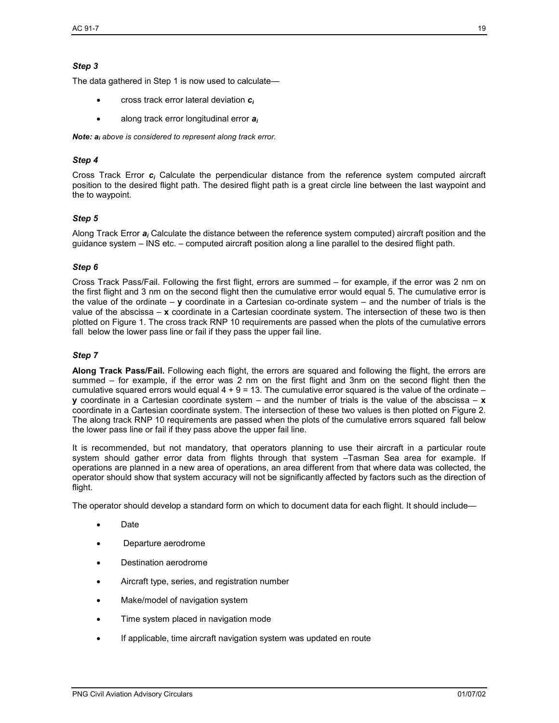#### *Step 3*

The data gathered in Step 1 is now used to calculate—

- cross track error lateral deviation *c<sup>i</sup>*
- along track error longitudinal error *a<sup>i</sup>*

*Note: ai above is considered to represent along track error.* 

#### *Step 4*

Cross Track Error  $c_i$  Calculate the perpendicular distance from the reference system computed aircraft position to the desired flight path. The desired flight path is a great circle line between the last waypoint and the to waypoint.

#### *Step 5*

Along Track Error *a<sup>i</sup>* Calculate the distance between the reference system computed) aircraft position and the guidance system – INS etc. – computed aircraft position along a line parallel to the desired flight path.

#### *Step 6*

Cross Track Pass/Fail. Following the first flight, errors are summed – for example, if the error was 2 nm on the first flight and 3 nm on the second flight then the cumulative error would equal 5. The cumulative error is the value of the ordinate – **y** coordinate in a Cartesian co-ordinate system – and the number of trials is the value of the abscissa – **x** coordinate in a Cartesian coordinate system. The intersection of these two is then plotted on Figure 1. The cross track RNP 10 requirements are passed when the plots of the cumulative errors fall below the lower pass line or fail if they pass the upper fail line.

#### *Step 7*

**Along Track Pass/Fail.** Following each flight, the errors are squared and following the flight, the errors are summed – for example, if the error was 2 nm on the first flight and 3nm on the second flight then the cumulative squared errors would equal  $4 + 9 = 13$ . The cumulative error squared is the value of the ordinate – **y** coordinate in a Cartesian coordinate system – and the number of trials is the value of the abscissa – **x** coordinate in a Cartesian coordinate system. The intersection of these two values is then plotted on Figure 2. The along track RNP 10 requirements are passed when the plots of the cumulative errors squared fall below the lower pass line or fail if they pass above the upper fail line.

It is recommended, but not mandatory, that operators planning to use their aircraft in a particular route system should gather error data from flights through that system –Tasman Sea area for example. If operations are planned in a new area of operations, an area different from that where data was collected, the operator should show that system accuracy will not be significantly affected by factors such as the direction of flight.

The operator should develop a standard form on which to document data for each flight. It should include—

- Date
- Departure aerodrome
- Destination aerodrome
- Aircraft type, series, and registration number
- Make/model of navigation system
- Time system placed in navigation mode
- If applicable, time aircraft navigation system was updated en route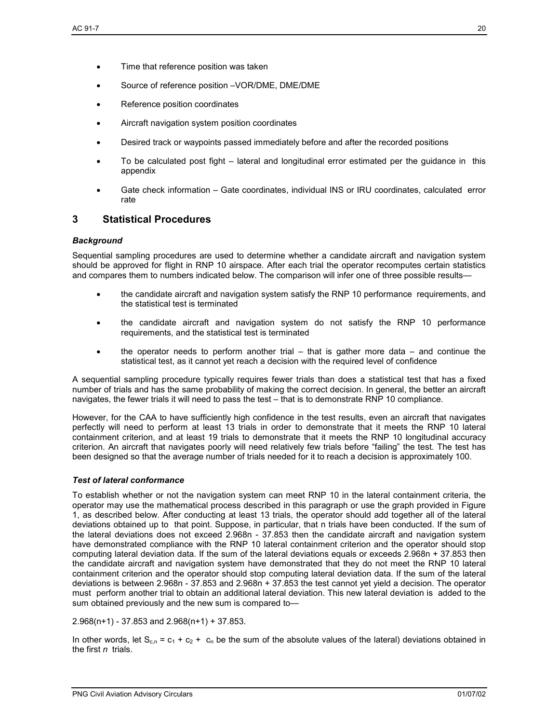- Time that reference position was taken
- Source of reference position -VOR/DME, DME/DME
- Reference position coordinates
- Aircraft navigation system position coordinates
- Desired track or waypoints passed immediately before and after the recorded positions
- To be calculated post fight lateral and longitudinal error estimated per the guidance in this appendix
- Gate check information Gate coordinates, individual INS or IRU coordinates, calculated error rate

#### **3 Statistical Procedures**

#### *Background*

Sequential sampling procedures are used to determine whether a candidate aircraft and navigation system should be approved for flight in RNP 10 airspace. After each trial the operator recomputes certain statistics and compares them to numbers indicated below. The comparison will infer one of three possible results—

- the candidate aircraft and navigation system satisfy the RNP 10 performance requirements, and the statistical test is terminated
- the candidate aircraft and navigation system do not satisfy the RNP 10 performance requirements, and the statistical test is terminated
- the operator needs to perform another trial that is gather more data and continue the statistical test, as it cannot yet reach a decision with the required level of confidence

A sequential sampling procedure typically requires fewer trials than does a statistical test that has a fixed number of trials and has the same probability of making the correct decision. In general, the better an aircraft navigates, the fewer trials it will need to pass the test – that is to demonstrate RNP 10 compliance.

However, for the CAA to have sufficiently high confidence in the test results, even an aircraft that navigates perfectly will need to perform at least 13 trials in order to demonstrate that it meets the RNP 10 lateral containment criterion, and at least 19 trials to demonstrate that it meets the RNP 10 longitudinal accuracy criterion. An aircraft that navigates poorly will need relatively few trials before "failing" the test. The test has been designed so that the average number of trials needed for it to reach a decision is approximately 100.

#### *Test of lateral conformance*

To establish whether or not the navigation system can meet RNP 10 in the lateral containment criteria, the operator may use the mathematical process described in this paragraph or use the graph provided in Figure 1, as described below. After conducting at least 13 trials, the operator should add together all of the lateral deviations obtained up to that point. Suppose, in particular, that n trials have been conducted. If the sum of the lateral deviations does not exceed 2.968n - 37.853 then the candidate aircraft and navigation system have demonstrated compliance with the RNP 10 lateral containment criterion and the operator should stop computing lateral deviation data. If the sum of the lateral deviations equals or exceeds 2.968n + 37.853 then the candidate aircraft and navigation system have demonstrated that they do not meet the RNP 10 lateral containment criterion and the operator should stop computing lateral deviation data. If the sum of the lateral deviations is between 2.968n - 37.853 and 2.968n + 37.853 the test cannot yet yield a decision. The operator must perform another trial to obtain an additional lateral deviation. This new lateral deviation is added to the sum obtained previously and the new sum is compared to—

 $2.968(n+1) - 37.853$  and  $2.968(n+1) + 37.853$ .

In other words, let  $S_{c,n} = c_1 + c_2 + c_n$  be the sum of the absolute values of the lateral) deviations obtained in the first *n* trials.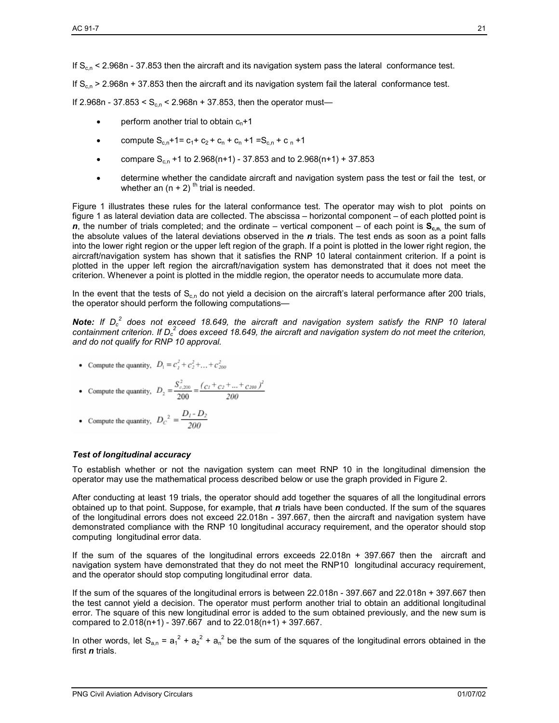If  $S_{c,n}$  > 2.968n + 37.853 then the aircraft and its navigation system fail the lateral conformance test.

If 2.968n - 37.853 <  $S_{c,n}$  < 2.968n + 37.853, then the operator must—

- perform another trial to obtain  $c_n+1$
- compute  $S_{c,n}$ +1=  $C_1$ +  $C_2$  +  $C_n$  +  $C_n$  +1 = $S_{c,n}$  +  $C_n$  +1
- compare  $S_{\rm cn}$  +1 to 2.968(n+1) 37.853 and to 2.968(n+1) + 37.853
- determine whether the candidate aircraft and navigation system pass the test or fail the test, or whether an  $(n + 2)$ <sup>th</sup> trial is needed.

Figure 1 illustrates these rules for the lateral conformance test. The operator may wish to plot points on figure 1 as lateral deviation data are collected. The abscissa – horizontal component – of each plotted point is *n*, the number of trials completed; and the ordinate – vertical component – of each point is **Sc,n,** the sum of the absolute values of the lateral deviations observed in the *n* trials. The test ends as soon as a point falls into the lower right region or the upper left region of the graph. If a point is plotted in the lower right region, the aircraft/navigation system has shown that it satisfies the RNP 10 lateral containment criterion. If a point is plotted in the upper left region the aircraft/navigation system has demonstrated that it does not meet the criterion. Whenever a point is plotted in the middle region, the operator needs to accumulate more data.

In the event that the tests of  $S_{c,n}$  do not yield a decision on the aircraft's lateral performance after 200 trials, the operator should perform the following computations—

*Note: If D<sup>c</sup> 2 does not exceed 18.649, the aircraft and navigation system satisfy the RNP 10 lateral*  containment criterion. If D<sub>c</sub><sup>2</sup> does exceed 18.649, the aircraft and navigation system do not meet the criterion, *and do not qualify for RNP 10 approval.* 

• Compute the quantity,  $D_1 = c_1^2 + c_2^2 + ... + c_{200}^2$ 

• Compute the quantity, 
$$
D_2 = \frac{S_{c,200}^2}{200} = \frac{(c_1 + c_2 + ... + c_{200})^2}{200}
$$

• Compute the quantity, 
$$
D_C^2 = \frac{D_1 - D_2}{200}
$$

#### *Test of longitudinal accuracy*

To establish whether or not the navigation system can meet RNP 10 in the longitudinal dimension the operator may use the mathematical process described below or use the graph provided in Figure 2.

After conducting at least 19 trials, the operator should add together the squares of all the longitudinal errors obtained up to that point. Suppose, for example, that *n* trials have been conducted. If the sum of the squares of the longitudinal errors does not exceed 22.018n - 397.667, then the aircraft and navigation system have demonstrated compliance with the RNP 10 longitudinal accuracy requirement, and the operator should stop computing longitudinal error data.

If the sum of the squares of the longitudinal errors exceeds 22.018n + 397.667 then the aircraft and navigation system have demonstrated that they do not meet the RNP10 longitudinal accuracy requirement, and the operator should stop computing longitudinal error data.

If the sum of the squares of the longitudinal errors is between 22.018n - 397.667 and 22.018n + 397.667 then the test cannot yield a decision. The operator must perform another trial to obtain an additional longitudinal error. The square of this new longitudinal error is added to the sum obtained previously, and the new sum is compared to 2.018(n+1) - 397.667 and to 22.018(n+1) + 397.667.

In other words, let S<sub>a,n</sub> =  $a_1^2 + a_2^2 + a_n^2$  be the sum of the squares of the longitudinal errors obtained in the first *n* trials.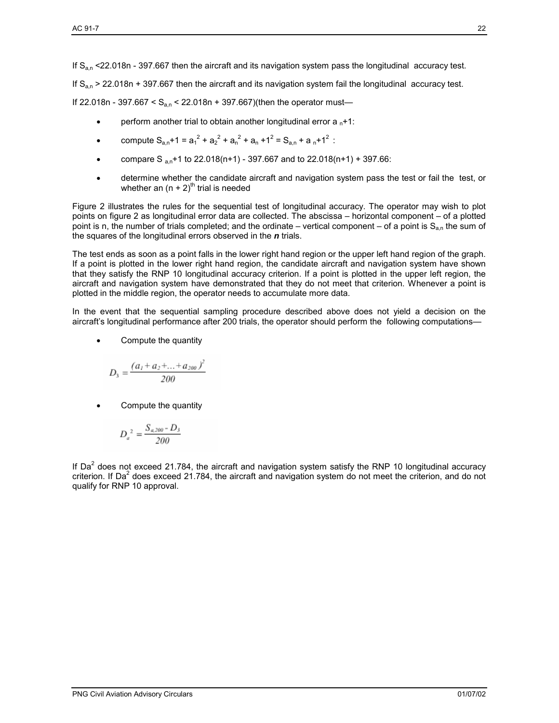If  $S_{a,n}$  <22.018n - 397.667 then the aircraft and its navigation system pass the longitudinal accuracy test.

If  $S_{a,n}$  > 22.018n + 397.667 then the aircraft and its navigation system fail the longitudinal accuracy test.

If 22.018n - 397.667  $\leq S_{a,n} \leq 22.018n + 397.667$ )(then the operator must—

- perform another trial to obtain another longitudinal error  $a_n+1$ :
- compute  $S_{a,n}+1 = a_1^2 + a_2^2 + a_n^2 + a_n + 1^2 = S_{a,n} + a_n + 1^2$ :
- compare S  $_{a,n}$ +1 to 22.018(n+1) 397.667 and to 22.018(n+1) + 397.66:
- determine whether the candidate aircraft and navigation system pass the test or fail the test, or whether an  $(n + 2)^{th}$  trial is needed

Figure 2 illustrates the rules for the sequential test of longitudinal accuracy. The operator may wish to plot points on figure 2 as longitudinal error data are collected. The abscissa – horizontal component – of a plotted point is n, the number of trials completed; and the ordinate – vertical component – of a point is  $S_{a,n}$  the sum of the squares of the longitudinal errors observed in the *n* trials.

The test ends as soon as a point falls in the lower right hand region or the upper left hand region of the graph. If a point is plotted in the lower right hand region, the candidate aircraft and navigation system have shown that they satisfy the RNP 10 longitudinal accuracy criterion. If a point is plotted in the upper left region, the aircraft and navigation system have demonstrated that they do not meet that criterion. Whenever a point is plotted in the middle region, the operator needs to accumulate more data.

In the event that the sequential sampling procedure described above does not yield a decision on the aircraft's longitudinal performance after 200 trials, the operator should perform the following computations—

Compute the quantity

$$
D_3 = \frac{(a_1 + a_2 + \dots + a_{200})^2}{200}
$$

• Compute the quantity

$$
D_a^{\ 2} = \frac{S_{a,200} - D_3}{200}
$$

If Da<sup>2</sup> does not exceed 21.784, the aircraft and navigation system satisfy the RNP 10 longitudinal accuracy criterion. If Da<sup>2</sup> does exceed 21.784, the aircraft and navigation system do not meet the criterion, and do not qualify for RNP 10 approval.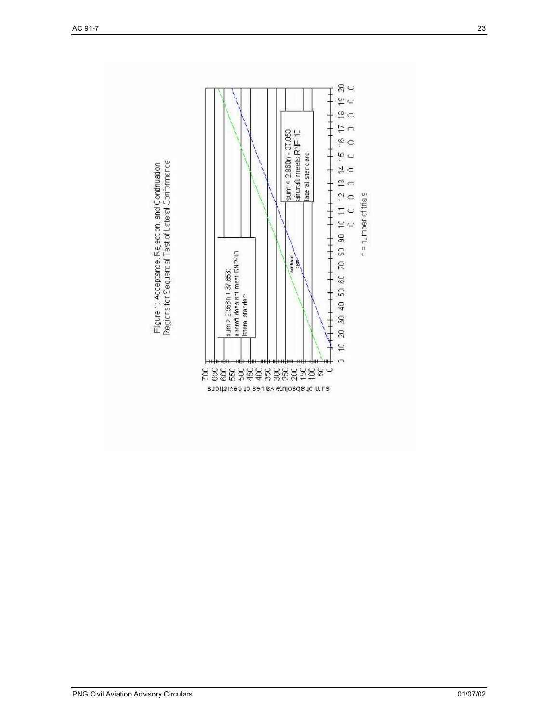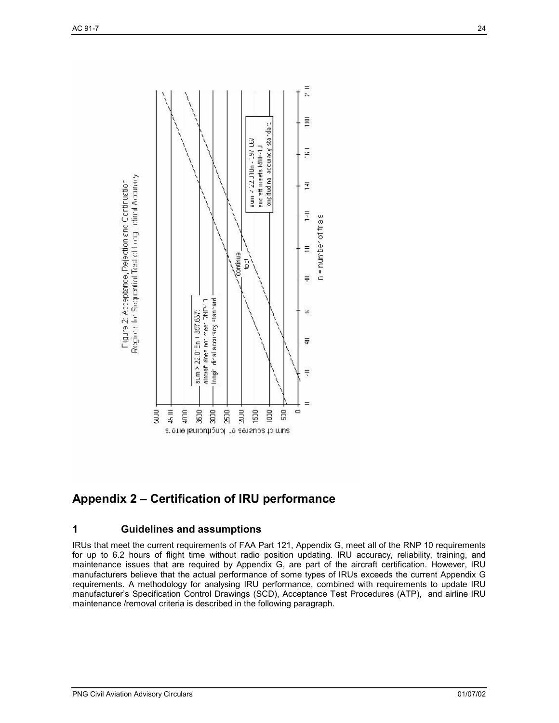

## **Appendix 2 – Certification of IRU performance**

## **1 Guidelines and assumptions**

IRUs that meet the current requirements of FAA Part 121, Appendix G, meet all of the RNP 10 requirements for up to 6.2 hours of flight time without radio position updating. IRU accuracy, reliability, training, and maintenance issues that are required by Appendix G, are part of the aircraft certification. However, IRU manufacturers believe that the actual performance of some types of IRUs exceeds the current Appendix G requirements. A methodology for analysing IRU performance, combined with requirements to update IRU manufacturer's Specification Control Drawings (SCD), Acceptance Test Procedures (ATP), and airline IRU maintenance /removal criteria is described in the following paragraph.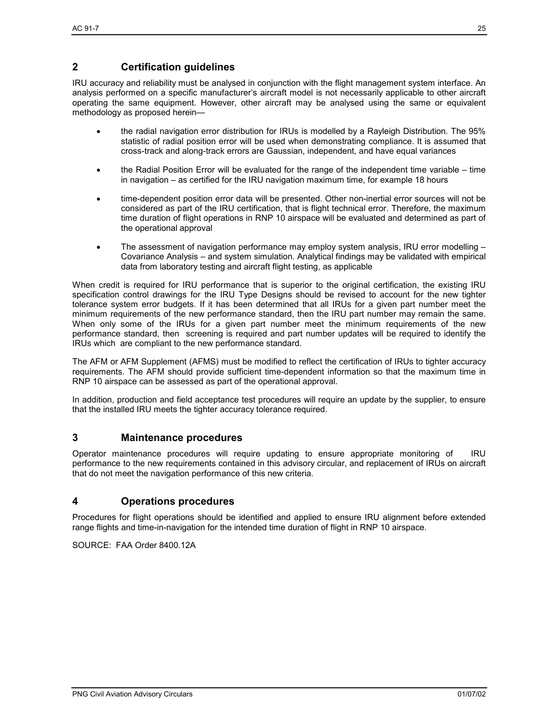#### **2 Certification guidelines**

IRU accuracy and reliability must be analysed in conjunction with the flight management system interface. An analysis performed on a specific manufacturer's aircraft model is not necessarily applicable to other aircraft operating the same equipment. However, other aircraft may be analysed using the same or equivalent methodology as proposed herein—

- the radial navigation error distribution for IRUs is modelled by a Rayleigh Distribution. The 95% statistic of radial position error will be used when demonstrating compliance. It is assumed that cross-track and along-track errors are Gaussian, independent, and have equal variances
- the Radial Position Error will be evaluated for the range of the independent time variable time in navigation – as certified for the IRU navigation maximum time, for example 18 hours
- time-dependent position error data will be presented. Other non-inertial error sources will not be considered as part of the IRU certification, that is flight technical error. Therefore, the maximum time duration of flight operations in RNP 10 airspace will be evaluated and determined as part of the operational approval
- The assessment of navigation performance may employ system analysis, IRU error modelling Covariance Analysis – and system simulation. Analytical findings may be validated with empirical data from laboratory testing and aircraft flight testing, as applicable

When credit is required for IRU performance that is superior to the original certification, the existing IRU specification control drawings for the IRU Type Designs should be revised to account for the new tighter tolerance system error budgets. If it has been determined that all IRUs for a given part number meet the minimum requirements of the new performance standard, then the IRU part number may remain the same. When only some of the IRUs for a given part number meet the minimum requirements of the new performance standard, then screening is required and part number updates will be required to identify the IRUs which are compliant to the new performance standard.

The AFM or AFM Supplement (AFMS) must be modified to reflect the certification of IRUs to tighter accuracy requirements. The AFM should provide sufficient time-dependent information so that the maximum time in RNP 10 airspace can be assessed as part of the operational approval.

In addition, production and field acceptance test procedures will require an update by the supplier, to ensure that the installed IRU meets the tighter accuracy tolerance required.

#### **3 Maintenance procedures**

Operator maintenance procedures will require updating to ensure appropriate monitoring of IRU performance to the new requirements contained in this advisory circular, and replacement of IRUs on aircraft that do not meet the navigation performance of this new criteria.

#### **4 Operations procedures**

Procedures for flight operations should be identified and applied to ensure IRU alignment before extended range flights and time-in-navigation for the intended time duration of flight in RNP 10 airspace.

SOURCE: FAA Order 8400.12A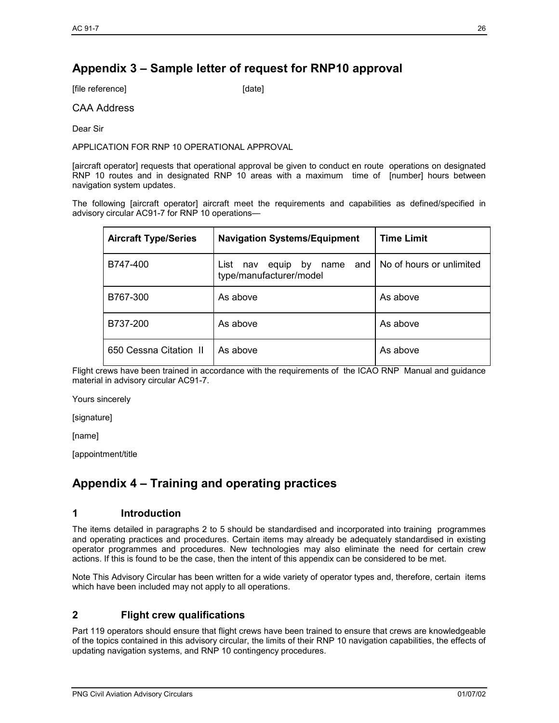## **Appendix 3 – Sample letter of request for RNP10 approval**

[file reference] [date]

CAA Address

Dear Sir

APPLICATION FOR RNP 10 OPERATIONAL APPROVAL

[aircraft operator] requests that operational approval be given to conduct en route operations on designated RNP 10 routes and in designated RNP 10 areas with a maximum time of [number] hours between navigation system updates.

The following [aircraft operator] aircraft meet the requirements and capabilities as defined/specified in advisory circular AC91-7 for RNP 10 operations—

| <b>Aircraft Type/Series</b> | <b>Navigation Systems/Equipment</b>                                  | <b>Time Limit</b>        |  |  |
|-----------------------------|----------------------------------------------------------------------|--------------------------|--|--|
| B747-400                    | List<br>and<br>equip<br>name<br>nav<br>bv<br>type/manufacturer/model | No of hours or unlimited |  |  |
| B767-300                    | As above                                                             | As above                 |  |  |
| B737-200                    | As above                                                             | As above                 |  |  |
| 650 Cessna Citation II      | As above                                                             | As above                 |  |  |

Flight crews have been trained in accordance with the requirements of the ICAO RNP Manual and guidance material in advisory circular AC91-7.

Yours sincerely

[signature]

[name]

[appointment/title

## **Appendix 4 – Training and operating practices**

#### **1 Introduction**

The items detailed in paragraphs 2 to 5 should be standardised and incorporated into training programmes and operating practices and procedures. Certain items may already be adequately standardised in existing operator programmes and procedures. New technologies may also eliminate the need for certain crew actions. If this is found to be the case, then the intent of this appendix can be considered to be met.

Note This Advisory Circular has been written for a wide variety of operator types and, therefore, certain items which have been included may not apply to all operations.

#### **2 Flight crew qualifications**

Part 119 operators should ensure that flight crews have been trained to ensure that crews are knowledgeable of the topics contained in this advisory circular, the limits of their RNP 10 navigation capabilities, the effects of updating navigation systems, and RNP 10 contingency procedures.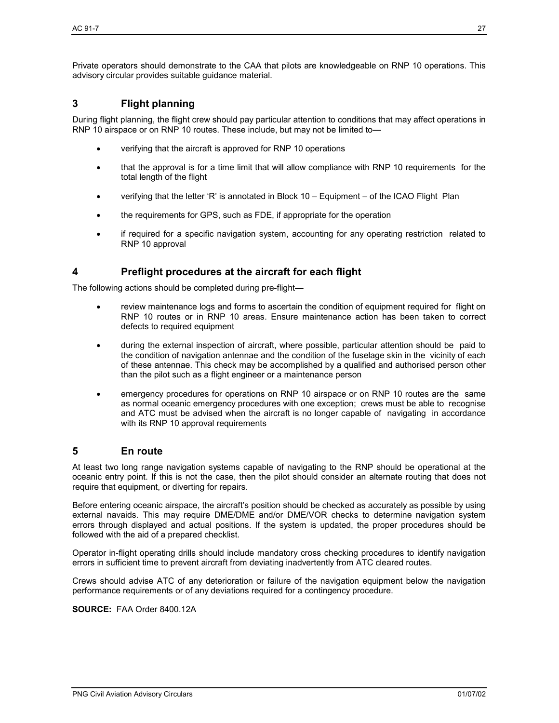Private operators should demonstrate to the CAA that pilots are knowledgeable on RNP 10 operations. This advisory circular provides suitable guidance material.

#### **3 Flight planning**

During flight planning, the flight crew should pay particular attention to conditions that may affect operations in RNP 10 airspace or on RNP 10 routes. These include, but may not be limited to-

- verifying that the aircraft is approved for RNP 10 operations
- that the approval is for a time limit that will allow compliance with RNP 10 requirements for the total length of the flight
- verifying that the letter 'R' is annotated in Block 10 Equipment of the ICAO Flight Plan
- the requirements for GPS, such as FDE, if appropriate for the operation
- if required for a specific navigation system, accounting for any operating restriction related to RNP 10 approval

#### **4 Preflight procedures at the aircraft for each flight**

The following actions should be completed during pre-flight—

- review maintenance logs and forms to ascertain the condition of equipment required for flight on RNP 10 routes or in RNP 10 areas. Ensure maintenance action has been taken to correct defects to required equipment
- during the external inspection of aircraft, where possible, particular attention should be paid to the condition of navigation antennae and the condition of the fuselage skin in the vicinity of each of these antennae. This check may be accomplished by a qualified and authorised person other than the pilot such as a flight engineer or a maintenance person
- emergency procedures for operations on RNP 10 airspace or on RNP 10 routes are the same as normal oceanic emergency procedures with one exception; crews must be able to recognise and ATC must be advised when the aircraft is no longer capable of navigating in accordance with its RNP 10 approval requirements

#### **5 En route**

At least two long range navigation systems capable of navigating to the RNP should be operational at the oceanic entry point. If this is not the case, then the pilot should consider an alternate routing that does not require that equipment, or diverting for repairs.

Before entering oceanic airspace, the aircraft's position should be checked as accurately as possible by using external navaids. This may require DME/DME and/or DME/VOR checks to determine navigation system errors through displayed and actual positions. If the system is updated, the proper procedures should be followed with the aid of a prepared checklist.

Operator in-flight operating drills should include mandatory cross checking procedures to identify navigation errors in sufficient time to prevent aircraft from deviating inadvertently from ATC cleared routes.

Crews should advise ATC of any deterioration or failure of the navigation equipment below the navigation performance requirements or of any deviations required for a contingency procedure.

**SOURCE:** FAA Order 8400.12A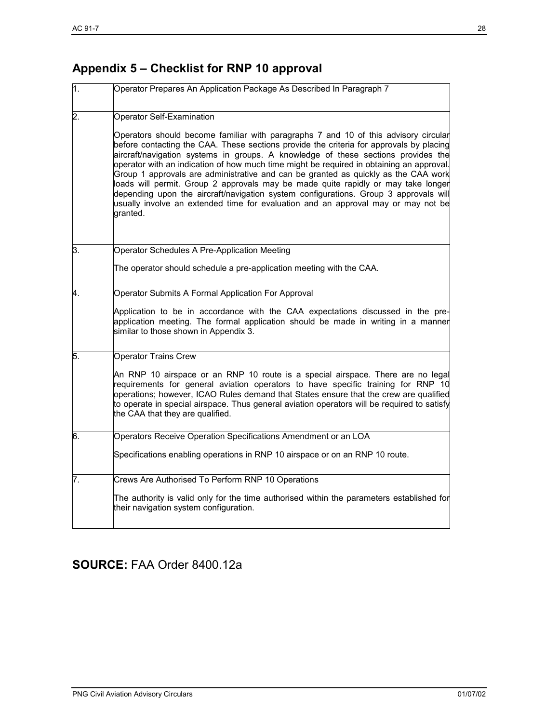## **Appendix 5 – Checklist for RNP 10 approval**

| $\overline{1}$ . | Operator Prepares An Application Package As Described In Paragraph 7                                                                                                                                                                                                                                                                                                                                                                                                                                                                                                                                                                                                                                                                |
|------------------|-------------------------------------------------------------------------------------------------------------------------------------------------------------------------------------------------------------------------------------------------------------------------------------------------------------------------------------------------------------------------------------------------------------------------------------------------------------------------------------------------------------------------------------------------------------------------------------------------------------------------------------------------------------------------------------------------------------------------------------|
| $\overline{2}$ . | Operator Self-Examination                                                                                                                                                                                                                                                                                                                                                                                                                                                                                                                                                                                                                                                                                                           |
|                  | Operators should become familiar with paragraphs 7 and 10 of this advisory circular<br>before contacting the CAA. These sections provide the criteria for approvals by placing<br>aircraft/navigation systems in groups. A knowledge of these sections provides the<br>operator with an indication of how much time might be required in obtaining an approval.<br>Group 1 approvals are administrative and can be granted as quickly as the CAA work<br>loads will permit. Group 2 approvals may be made quite rapidly or may take longer<br>depending upon the aircraft/navigation system configurations. Group 3 approvals will<br>usually involve an extended time for evaluation and an approval may or may not be<br>granted. |
| 3.               | Operator Schedules A Pre-Application Meeting                                                                                                                                                                                                                                                                                                                                                                                                                                                                                                                                                                                                                                                                                        |
|                  | The operator should schedule a pre-application meeting with the CAA.                                                                                                                                                                                                                                                                                                                                                                                                                                                                                                                                                                                                                                                                |
| 4.               | Operator Submits A Formal Application For Approval                                                                                                                                                                                                                                                                                                                                                                                                                                                                                                                                                                                                                                                                                  |
|                  | Application to be in accordance with the CAA expectations discussed in the pre-<br>application meeting. The formal application should be made in writing in a manner<br>similar to those shown in Appendix 3.                                                                                                                                                                                                                                                                                                                                                                                                                                                                                                                       |
| 5.               | <b>Operator Trains Crew</b>                                                                                                                                                                                                                                                                                                                                                                                                                                                                                                                                                                                                                                                                                                         |
|                  | An RNP 10 airspace or an RNP 10 route is a special airspace. There are no legal<br>requirements for general aviation operators to have specific training for RNP 10<br>operations; however, ICAO Rules demand that States ensure that the crew are qualified<br>to operate in special airspace. Thus general aviation operators will be required to satisfy<br>the CAA that they are qualified.                                                                                                                                                                                                                                                                                                                                     |
| 6.               | Operators Receive Operation Specifications Amendment or an LOA                                                                                                                                                                                                                                                                                                                                                                                                                                                                                                                                                                                                                                                                      |
|                  | Specifications enabling operations in RNP 10 airspace or on an RNP 10 route.                                                                                                                                                                                                                                                                                                                                                                                                                                                                                                                                                                                                                                                        |
| 7.               | Crews Are Authorised To Perform RNP 10 Operations                                                                                                                                                                                                                                                                                                                                                                                                                                                                                                                                                                                                                                                                                   |
|                  | The authority is valid only for the time authorised within the parameters established for<br>their navigation system configuration.                                                                                                                                                                                                                                                                                                                                                                                                                                                                                                                                                                                                 |

## **SOURCE:** FAA Order 8400.12a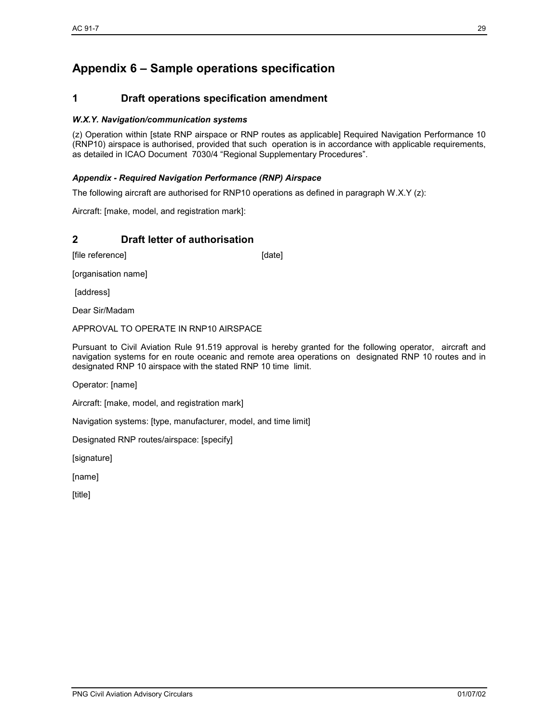## **Appendix 6 – Sample operations specification**

#### **1 Draft operations specification amendment**

#### *W.X.Y. Navigation/communication systems*

(z) Operation within [state RNP airspace or RNP routes as applicable] Required Navigation Performance 10 (RNP10) airspace is authorised, provided that such operation is in accordance with applicable requirements, as detailed in ICAO Document 7030/4 "Regional Supplementary Procedures".

#### *Appendix - Required Navigation Performance (RNP) Airspace*

The following aircraft are authorised for RNP10 operations as defined in paragraph W.X.Y (z):

Aircraft: [make, model, and registration mark]:

#### **2 Draft letter of authorisation**

[file reference] [date]

[organisation name]

[address]

Dear Sir/Madam

APPROVAL TO OPERATE IN RNP10 AIRSPACE

Pursuant to Civil Aviation Rule 91.519 approval is hereby granted for the following operator, aircraft and navigation systems for en route oceanic and remote area operations on designated RNP 10 routes and in designated RNP 10 airspace with the stated RNP 10 time limit.

Operator: [name]

Aircraft: [make, model, and registration mark]

Navigation systems: [type, manufacturer, model, and time limit]

Designated RNP routes/airspace: [specify]

[signature]

[name]

[title]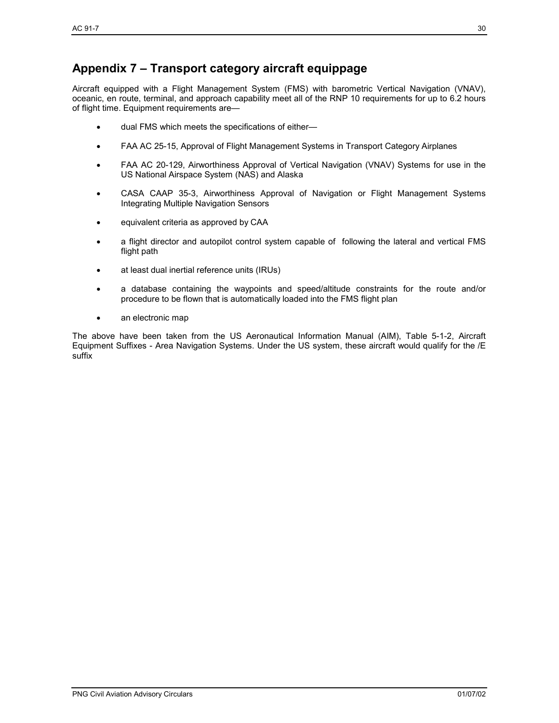## **Appendix 7 – Transport category aircraft equippage**

Aircraft equipped with a Flight Management System (FMS) with barometric Vertical Navigation (VNAV), oceanic, en route, terminal, and approach capability meet all of the RNP 10 requirements for up to 6.2 hours of flight time. Equipment requirements are—

- dual FMS which meets the specifications of either-
- FAA AC 25-15, Approval of Flight Management Systems in Transport Category Airplanes
- FAA AC 20-129, Airworthiness Approval of Vertical Navigation (VNAV) Systems for use in the US National Airspace System (NAS) and Alaska
- CASA CAAP 35-3, Airworthiness Approval of Navigation or Flight Management Systems Integrating Multiple Navigation Sensors
- equivalent criteria as approved by CAA
- a flight director and autopilot control system capable of following the lateral and vertical FMS flight path
- at least dual inertial reference units (IRUs)
- a database containing the waypoints and speed/altitude constraints for the route and/or procedure to be flown that is automatically loaded into the FMS flight plan
- an electronic map

The above have been taken from the US Aeronautical Information Manual (AIM), Table 5-1-2, Aircraft Equipment Suffixes - Area Navigation Systems. Under the US system, these aircraft would qualify for the /E suffix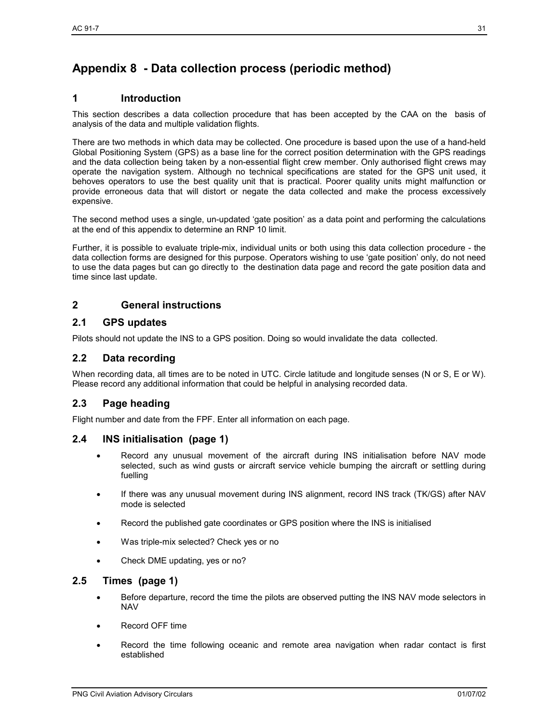## **Appendix 8 - Data collection process (periodic method)**

#### **1 Introduction**

This section describes a data collection procedure that has been accepted by the CAA on the basis of analysis of the data and multiple validation flights.

There are two methods in which data may be collected. One procedure is based upon the use of a hand-held Global Positioning System (GPS) as a base line for the correct position determination with the GPS readings and the data collection being taken by a non-essential flight crew member. Only authorised flight crews may operate the navigation system. Although no technical specifications are stated for the GPS unit used, it behoves operators to use the best quality unit that is practical. Poorer quality units might malfunction or provide erroneous data that will distort or negate the data collected and make the process excessively expensive.

The second method uses a single, un-updated 'gate position' as a data point and performing the calculations at the end of this appendix to determine an RNP 10 limit.

Further, it is possible to evaluate triple-mix, individual units or both using this data collection procedure - the data collection forms are designed for this purpose. Operators wishing to use 'gate position' only, do not need to use the data pages but can go directly to the destination data page and record the gate position data and time since last update.

#### **2 General instructions**

#### **2.1 GPS updates**

Pilots should not update the INS to a GPS position. Doing so would invalidate the data collected.

#### **2.2 Data recording**

When recording data, all times are to be noted in UTC. Circle latitude and longitude senses (N or S, E or W). Please record any additional information that could be helpful in analysing recorded data.

#### **2.3 Page heading**

Flight number and date from the FPF. Enter all information on each page.

#### **2.4 INS initialisation (page 1)**

- Record any unusual movement of the aircraft during INS initialisation before NAV mode selected, such as wind gusts or aircraft service vehicle bumping the aircraft or settling during fuelling
- If there was any unusual movement during INS alignment, record INS track (TK/GS) after NAV mode is selected
- Record the published gate coordinates or GPS position where the INS is initialised
- Was triple-mix selected? Check yes or no
- Check DME updating, yes or no?

#### **2.5 Times (page 1)**

- Before departure, record the time the pilots are observed putting the INS NAV mode selectors in NAV
- Record OFF time
- Record the time following oceanic and remote area navigation when radar contact is first established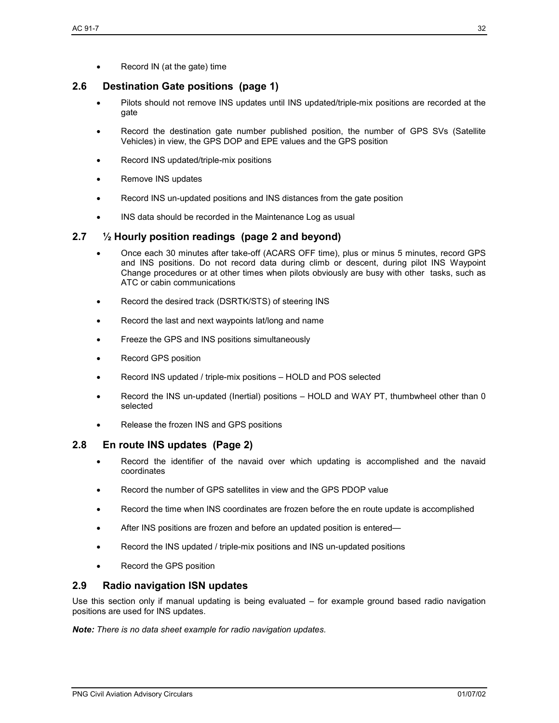• Record IN (at the gate) time

#### **2.6 Destination Gate positions (page 1)**

- Pilots should not remove INS updates until INS updated/triple-mix positions are recorded at the gate
- Record the destination gate number published position, the number of GPS SVs (Satellite Vehicles) in view, the GPS DOP and EPE values and the GPS position
- Record INS updated/triple-mix positions
- Remove INS updates
- Record INS un-updated positions and INS distances from the gate position
- INS data should be recorded in the Maintenance Log as usual

#### **2.7 ½ Hourly position readings (page 2 and beyond)**

- Once each 30 minutes after take-off (ACARS OFF time), plus or minus 5 minutes, record GPS and INS positions. Do not record data during climb or descent, during pilot INS Waypoint Change procedures or at other times when pilots obviously are busy with other tasks, such as ATC or cabin communications
- Record the desired track (DSRTK/STS) of steering INS
- Record the last and next waypoints lat/long and name
- Freeze the GPS and INS positions simultaneously
- Record GPS position
- Record INS updated / triple-mix positions HOLD and POS selected
- Record the INS un-updated (Inertial) positions HOLD and WAY PT, thumbwheel other than 0 selected
- Release the frozen INS and GPS positions

#### **2.8 En route INS updates (Page 2)**

- Record the identifier of the navaid over which updating is accomplished and the navaid coordinates
- Record the number of GPS satellites in view and the GPS PDOP value
- Record the time when INS coordinates are frozen before the en route update is accomplished
- After INS positions are frozen and before an updated position is entered—
- Record the INS updated / triple-mix positions and INS un-updated positions
- Record the GPS position

#### **2.9 Radio navigation ISN updates**

Use this section only if manual updating is being evaluated – for example ground based radio navigation positions are used for INS updates.

*Note: There is no data sheet example for radio navigation updates.*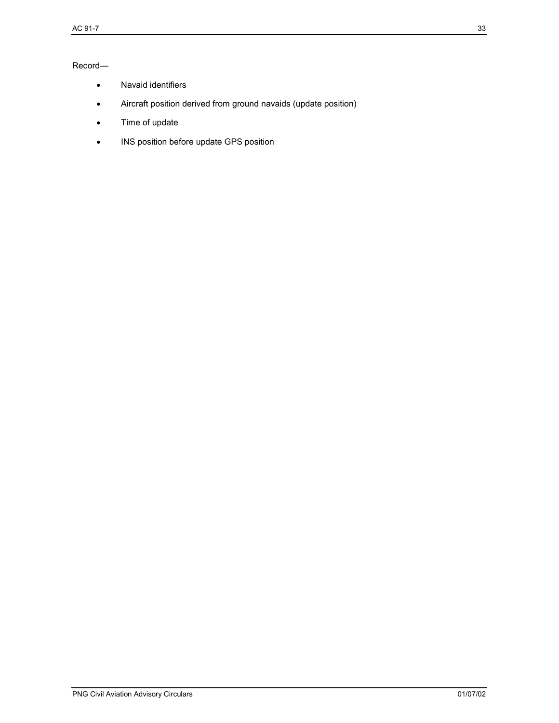#### Record—

- Navaid identifiers
- Aircraft position derived from ground navaids (update position)
- Time of update
- INS position before update GPS position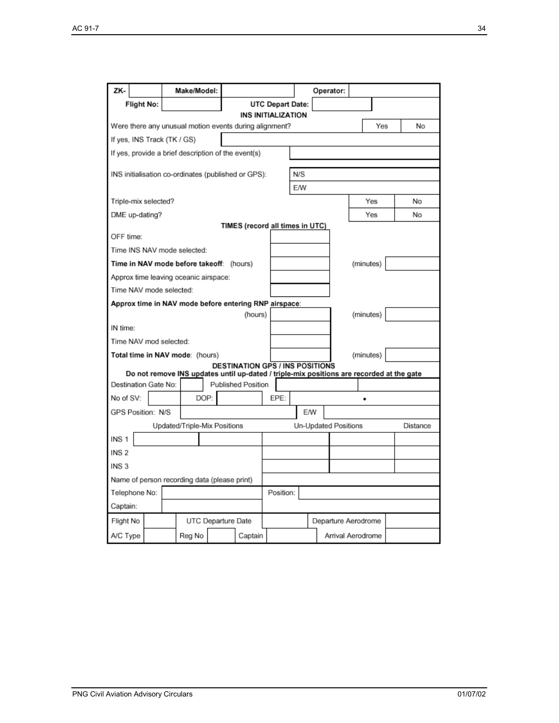| ZK-                                                    |  | Make/Model:                                                                              |                    |                                        |                    |                     |     | Operator:            |           |     |          |
|--------------------------------------------------------|--|------------------------------------------------------------------------------------------|--------------------|----------------------------------------|--------------------|---------------------|-----|----------------------|-----------|-----|----------|
| Flight No:                                             |  |                                                                                          |                    |                                        | UTC Depart Date:   |                     |     |                      |           |     |          |
|                                                        |  |                                                                                          |                    |                                        | INS INITIALIZATION |                     |     |                      |           |     |          |
| Were there any unusual motion events during alignment? |  |                                                                                          |                    |                                        |                    |                     |     |                      |           | Yes | No       |
| If yes, INS Track (TK / GS)                            |  |                                                                                          |                    |                                        |                    |                     |     |                      |           |     |          |
| If yes, provide a brief description of the event(s)    |  |                                                                                          |                    |                                        |                    |                     |     |                      |           |     |          |
|                                                        |  |                                                                                          |                    |                                        |                    |                     |     |                      |           |     |          |
| INS initialisation co-ordinates (published or GPS):    |  |                                                                                          |                    |                                        |                    | N/S                 |     |                      |           |     |          |
| Triple-mix selected?                                   |  |                                                                                          |                    |                                        |                    | <b>E/W</b>          |     |                      |           | Yes | No       |
|                                                        |  |                                                                                          |                    |                                        |                    |                     |     |                      |           | Yes |          |
| DME up-dating?                                         |  |                                                                                          |                    | TIMES (record all times in UTC)        |                    |                     |     |                      |           |     | No       |
| OFF time:                                              |  |                                                                                          |                    |                                        |                    |                     |     |                      |           |     |          |
| Time INS NAV mode selected:                            |  |                                                                                          |                    |                                        |                    |                     |     |                      |           |     |          |
| Time in NAV mode before takeoff: (hours)               |  |                                                                                          |                    |                                        |                    |                     |     |                      | (minutes) |     |          |
| Approx time leaving oceanic airspace:                  |  |                                                                                          |                    |                                        |                    |                     |     |                      |           |     |          |
| Time NAV mode selected:                                |  |                                                                                          |                    |                                        |                    |                     |     |                      |           |     |          |
| Approx time in NAV mode before entering RNP airspace:  |  |                                                                                          |                    |                                        |                    |                     |     |                      |           |     |          |
| (hours)                                                |  |                                                                                          |                    | (minutes)                              |                    |                     |     |                      |           |     |          |
| IN time:                                               |  |                                                                                          |                    |                                        |                    |                     |     |                      |           |     |          |
| Time NAV mod selected:                                 |  |                                                                                          |                    |                                        |                    |                     |     |                      |           |     |          |
| Total time in NAV mode: (hours)                        |  |                                                                                          |                    |                                        |                    |                     |     |                      | (minutes) |     |          |
|                                                        |  | Do not remove INS updates until up-dated / triple-mix positions are recorded at the gate |                    | <b>DESTINATION GPS / INS POSITIONS</b> |                    |                     |     |                      |           |     |          |
| Destination Gate No:                                   |  |                                                                                          |                    | Published Position                     |                    |                     |     |                      |           |     |          |
| No of SV:                                              |  | DOP:                                                                                     |                    |                                        | EPE:               |                     |     |                      |           |     |          |
| GPS Position: N/S                                      |  |                                                                                          |                    |                                        |                    |                     | E/W |                      |           |     |          |
|                                                        |  | Updated/Triple-Mix Positions                                                             |                    |                                        |                    |                     |     | Un-Updated Positions |           |     | Distance |
| INS <sub>1</sub>                                       |  |                                                                                          |                    |                                        |                    |                     |     |                      |           |     |          |
| INS <sub>2</sub>                                       |  |                                                                                          |                    |                                        |                    |                     |     |                      |           |     |          |
| INS <sub>3</sub>                                       |  |                                                                                          |                    |                                        |                    |                     |     |                      |           |     |          |
| Name of person recording data (please print)           |  |                                                                                          |                    |                                        |                    |                     |     |                      |           |     |          |
| Telephone No:                                          |  |                                                                                          |                    | Position:                              |                    |                     |     |                      |           |     |          |
| Captain:                                               |  |                                                                                          |                    |                                        |                    |                     |     |                      |           |     |          |
| Flight No                                              |  |                                                                                          | UTC Departure Date |                                        |                    | Departure Aerodrome |     |                      |           |     |          |
| A/C Type                                               |  | Reg No                                                                                   |                    | Captain                                |                    |                     |     | Arrival Aerodrome    |           |     |          |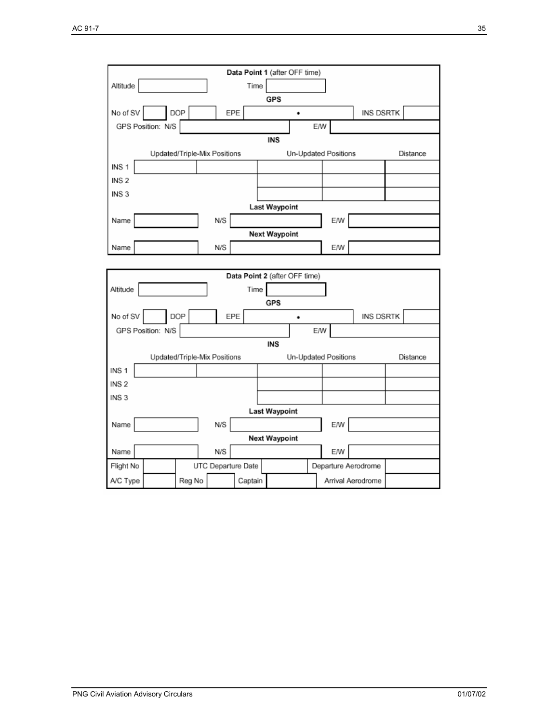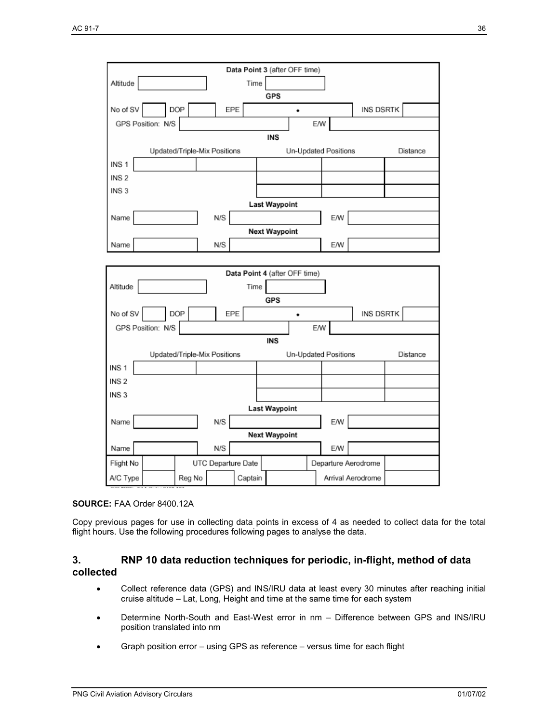

#### **SOURCE:** FAA Order 8400.12A

Copy previous pages for use in collecting data points in excess of 4 as needed to collect data for the total flight hours. Use the following procedures following pages to analyse the data.

#### **3. RNP 10 data reduction techniques for periodic, in-flight, method of data collected**

- Collect reference data (GPS) and INS/IRU data at least every 30 minutes after reaching initial cruise altitude – Lat, Long, Height and time at the same time for each system
- Determine North-South and East-West error in nm Difference between GPS and INS/IRU position translated into nm
- Graph position error using GPS as reference versus time for each flight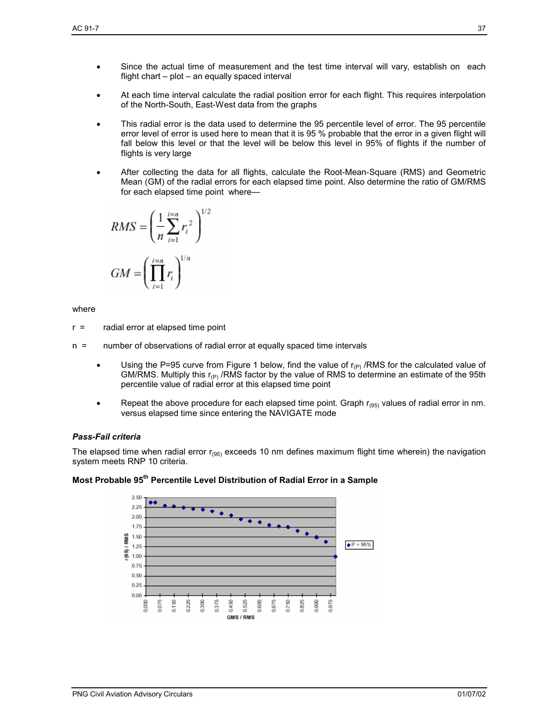- Since the actual time of measurement and the test time interval will vary, establish on each flight chart  $-$  plot  $-$  an equally spaced interval
- At each time interval calculate the radial position error for each flight. This requires interpolation of the North-South, East-West data from the graphs
- This radial error is the data used to determine the 95 percentile level of error. The 95 percentile error level of error is used here to mean that it is 95 % probable that the error in a given flight will fall below this level or that the level will be below this level in 95% of flights if the number of flights is very large
- After collecting the data for all flights, calculate the Root-Mean-Square (RMS) and Geometric Mean (GM) of the radial errors for each elapsed time point. Also determine the ratio of GM/RMS for each elapsed time point where—

$$
RMS = \left(\frac{1}{n}\sum_{i=1}^{i=n} r_i^2\right)^{1/2}
$$

$$
GM = \left(\prod_{i=1}^{i=n} r_i\right)^{1/n}
$$

where

- r = radial error at elapsed time point
- n = number of observations of radial error at equally spaced time intervals
	- Using the P=95 curve from Figure 1 below, find the value of  $r_{(P)}$  /RMS for the calculated value of GM/RMS. Multiply this  $r_{(P)}$  /RMS factor by the value of RMS to determine an estimate of the 95th percentile value of radial error at this elapsed time point
	- Repeat the above procedure for each elapsed time point. Graph  $r_{(95)}$  values of radial error in nm. versus elapsed time since entering the NAVIGATE mode

#### *Pass-Fail criteria*

The elapsed time when radial error  $r_{(95)}$  exceeds 10 nm defines maximum flight time wherein) the navigation system meets RNP 10 criteria.



## **Most Probable 95th Percentile Level Distribution of Radial Error in a Sample**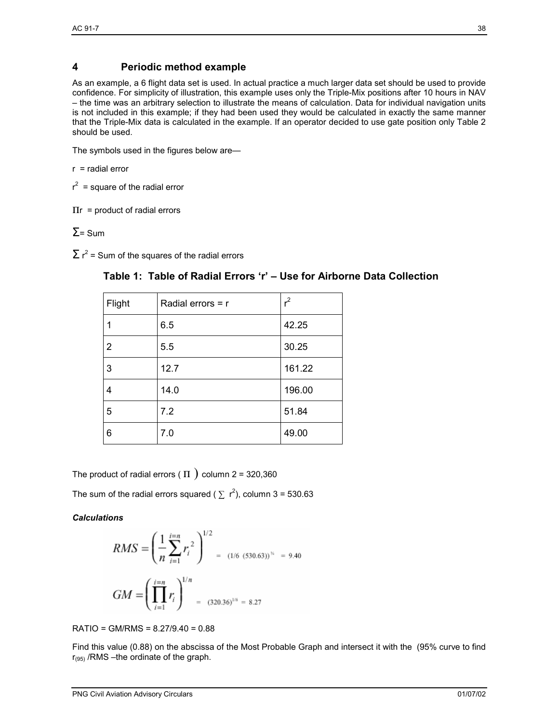#### **4 Periodic method example**

As an example, a 6 flight data set is used. In actual practice a much larger data set should be used to provide confidence. For simplicity of illustration, this example uses only the Triple-Mix positions after 10 hours in NAV – the time was an arbitrary selection to illustrate the means of calculation. Data for individual navigation units is not included in this example; if they had been used they would be calculated in exactly the same manner that the Triple-Mix data is calculated in the example. If an operator decided to use gate position only Table 2 should be used.

The symbols used in the figures below are—

 $r =$  radial error

 $r^2$  = square of the radial error

 $\Pi$ r = product of radial errors

Σ= Sum

 $\sum$   $r^2$  = Sum of the squares of the radial errors

| Flight | Radial errors $= r$ | $r^2$  |
|--------|---------------------|--------|
| 1      | 6.5                 | 42.25  |
| 2      | 5.5                 | 30.25  |
| 3      | 12.7                | 161.22 |
| 4      | 14.0                | 196.00 |
| 5      | 7.2                 | 51.84  |
| 6      | 7.0                 | 49.00  |

**Table 1: Table of Radial Errors 'r' – Use for Airborne Data Collection** 

The product of radial errors ( $\Pi$ ) column 2 = 320,360

The sum of the radial errors squared (  $\sum r^2$ ), column 3 = 530.63

*Calculations* 

$$
RMS = \left(\frac{1}{n}\sum_{i=1}^{i=n} r_i^2\right)^{1/2} = (1/6 \ (530.63))^{\frac{1}{2}} = 9.40
$$

$$
GM = \left(\prod_{i=1}^{i=n} r_i\right)^{1/n} = (320.36)^{1/6} = 8.27
$$

RATIO = GM/RMS = 8.27/9.40 = 0.88

Find this value (0.88) on the abscissa of the Most Probable Graph and intersect it with the (95% curve to find  $r_{(95)}$  /RMS –the ordinate of the graph.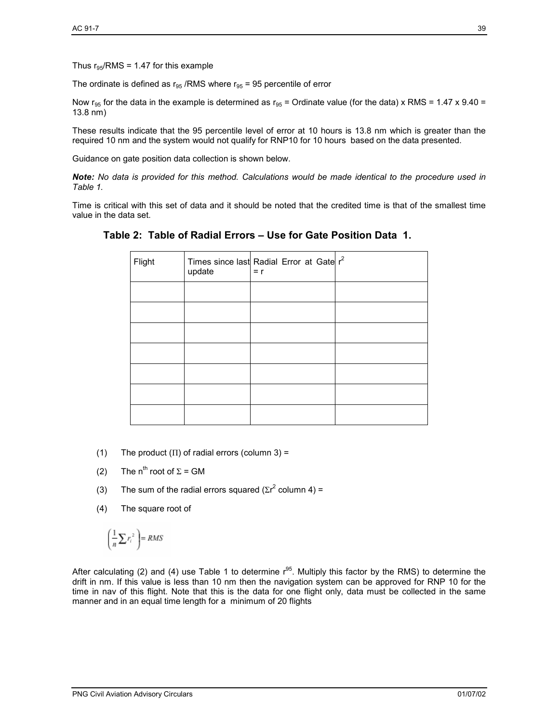Thus  $r_{95}/RMS = 1.47$  for this example

The ordinate is defined as  $r_{95}$  /RMS where  $r_{95}$  = 95 percentile of error

Now r<sub>95</sub> for the data in the example is determined as  $r_{95}$  = Ordinate value (for the data) x RMS = 1.47 x 9.40 = 13.8 nm)

These results indicate that the 95 percentile level of error at 10 hours is 13.8 nm which is greater than the required 10 nm and the system would not qualify for RNP10 for 10 hours based on the data presented.

Guidance on gate position data collection is shown below.

*Note: No data is provided for this method. Calculations would be made identical to the procedure used in Table 1.* 

Time is critical with this set of data and it should be noted that the credited time is that of the smallest time value in the data set.

**Table 2: Table of Radial Errors – Use for Gate Position Data 1.** 

| Flight | update | Times since last Radial Error at Gate $r^2$<br>$= r$ |  |
|--------|--------|------------------------------------------------------|--|
|        |        |                                                      |  |
|        |        |                                                      |  |
|        |        |                                                      |  |
|        |        |                                                      |  |
|        |        |                                                      |  |
|        |        |                                                      |  |
|        |        |                                                      |  |

- (1) The product  $(II)$  of radial errors (column 3) =
- (2) The n<sup>th</sup> root of  $\Sigma = GM$
- (3) The sum of the radial errors squared  $(\Sigma r^2 \text{ column } 4) =$
- (4) The square root of

$$
\left(\frac{1}{n}\sum r_i^2\right) = RMS
$$

After calculating (2) and (4) use Table 1 to determine  $r^{95}$ . Multiply this factor by the RMS) to determine the drift in nm. If this value is less than 10 nm then the navigation system can be approved for RNP 10 for the time in nav of this flight. Note that this is the data for one flight only, data must be collected in the same manner and in an equal time length for a minimum of 20 flights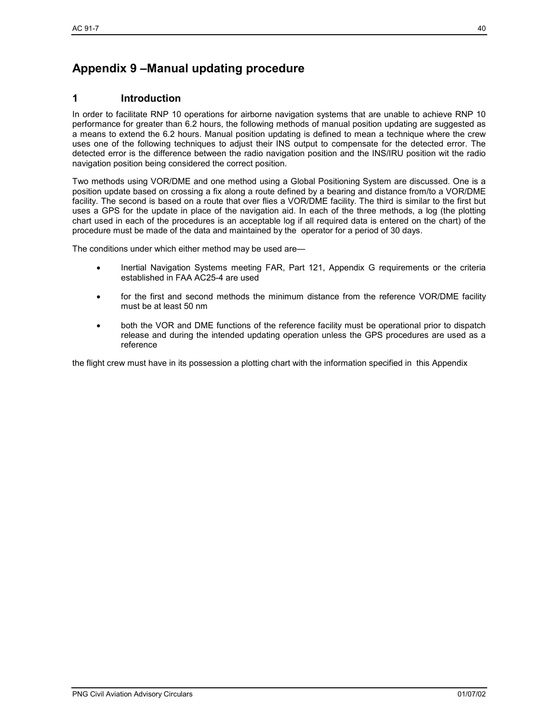## **Appendix 9 –Manual updating procedure**

#### **1 Introduction**

In order to facilitate RNP 10 operations for airborne navigation systems that are unable to achieve RNP 10 performance for greater than 6.2 hours, the following methods of manual position updating are suggested as a means to extend the 6.2 hours. Manual position updating is defined to mean a technique where the crew uses one of the following techniques to adjust their INS output to compensate for the detected error. The detected error is the difference between the radio navigation position and the INS/IRU position wit the radio navigation position being considered the correct position.

Two methods using VOR/DME and one method using a Global Positioning System are discussed. One is a position update based on crossing a fix along a route defined by a bearing and distance from/to a VOR/DME facility. The second is based on a route that over flies a VOR/DME facility. The third is similar to the first but uses a GPS for the update in place of the navigation aid. In each of the three methods, a log (the plotting chart used in each of the procedures is an acceptable log if all required data is entered on the chart) of the procedure must be made of the data and maintained by the operator for a period of 30 days.

The conditions under which either method may be used are—

- Inertial Navigation Systems meeting FAR, Part 121, Appendix G requirements or the criteria established in FAA AC25-4 are used
- for the first and second methods the minimum distance from the reference VOR/DME facility must be at least 50 nm
- both the VOR and DME functions of the reference facility must be operational prior to dispatch release and during the intended updating operation unless the GPS procedures are used as a reference

the flight crew must have in its possession a plotting chart with the information specified in this Appendix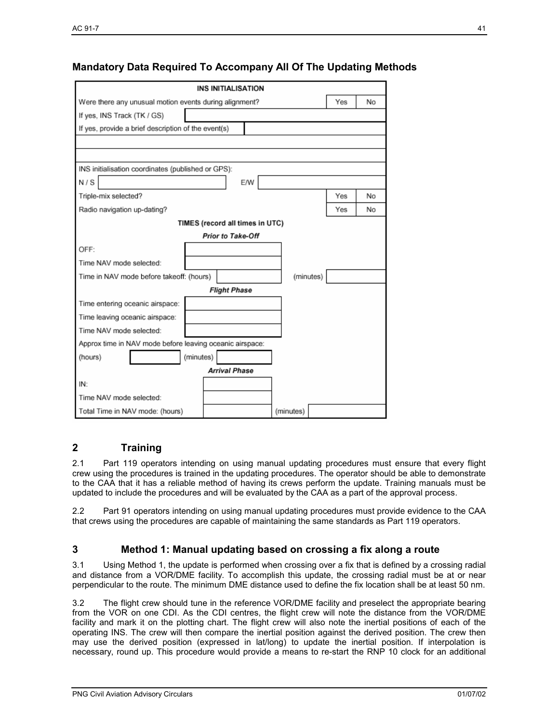| INS INITIALISATION                                       |     |     |    |  |  |  |  |  |
|----------------------------------------------------------|-----|-----|----|--|--|--|--|--|
| Were there any unusual motion events during alignment?   | Yes | No  |    |  |  |  |  |  |
| If yes, INS Track (TK / GS)                              |     |     |    |  |  |  |  |  |
| If yes, provide a brief description of the event(s)      |     |     |    |  |  |  |  |  |
|                                                          |     |     |    |  |  |  |  |  |
|                                                          |     |     |    |  |  |  |  |  |
| INS initialisation coordinates (published or GPS):       |     |     |    |  |  |  |  |  |
| N/S<br>E/W                                               |     |     |    |  |  |  |  |  |
| Triple-mix selected?                                     |     | Yes | No |  |  |  |  |  |
| Radio navigation up-dating?                              |     | Yes | No |  |  |  |  |  |
| TIMES (record all times in UTC)                          |     |     |    |  |  |  |  |  |
| Prior to Take-Off                                        |     |     |    |  |  |  |  |  |
| OFF:                                                     |     |     |    |  |  |  |  |  |
| Time NAV mode selected:                                  |     |     |    |  |  |  |  |  |
| (minutes)<br>Time in NAV mode before takeoff: (hours)    |     |     |    |  |  |  |  |  |
| <b>Flight Phase</b>                                      |     |     |    |  |  |  |  |  |
| Time entering oceanic airspace:                          |     |     |    |  |  |  |  |  |
| Time leaving oceanic airspace:                           |     |     |    |  |  |  |  |  |
| Time NAV mode selected:                                  |     |     |    |  |  |  |  |  |
| Approx time in NAV mode before leaving oceanic airspace: |     |     |    |  |  |  |  |  |
| (minutes)<br>(hours)                                     |     |     |    |  |  |  |  |  |
| <b>Arrival Phase</b>                                     |     |     |    |  |  |  |  |  |
| IN:                                                      |     |     |    |  |  |  |  |  |
| Time NAV mode selected:                                  |     |     |    |  |  |  |  |  |
| (minutes)<br>Total Time in NAV mode: (hours)             |     |     |    |  |  |  |  |  |

## **Mandatory Data Required To Accompany All Of The Updating Methods**

## **2 Training**

2.1 Part 119 operators intending on using manual updating procedures must ensure that every flight crew using the procedures is trained in the updating procedures. The operator should be able to demonstrate to the CAA that it has a reliable method of having its crews perform the update. Training manuals must be updated to include the procedures and will be evaluated by the CAA as a part of the approval process.

2.2 Part 91 operators intending on using manual updating procedures must provide evidence to the CAA that crews using the procedures are capable of maintaining the same standards as Part 119 operators.

#### **3 Method 1: Manual updating based on crossing a fix along a route**

3.1 Using Method 1, the update is performed when crossing over a fix that is defined by a crossing radial and distance from a VOR/DME facility. To accomplish this update, the crossing radial must be at or near perpendicular to the route. The minimum DME distance used to define the fix location shall be at least 50 nm.

3.2 The flight crew should tune in the reference VOR/DME facility and preselect the appropriate bearing from the VOR on one CDI. As the CDI centres, the flight crew will note the distance from the VOR/DME facility and mark it on the plotting chart. The flight crew will also note the inertial positions of each of the operating INS. The crew will then compare the inertial position against the derived position. The crew then may use the derived position (expressed in lat/long) to update the inertial position. If interpolation is necessary, round up. This procedure would provide a means to re-start the RNP 10 clock for an additional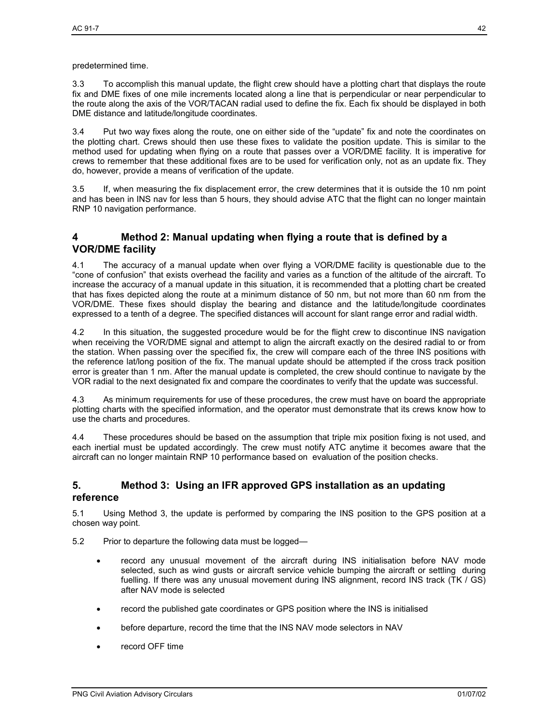predetermined time.

3.3 To accomplish this manual update, the flight crew should have a plotting chart that displays the route fix and DME fixes of one mile increments located along a line that is perpendicular or near perpendicular to the route along the axis of the VOR/TACAN radial used to define the fix. Each fix should be displayed in both DME distance and latitude/longitude coordinates.

3.4 Put two way fixes along the route, one on either side of the "update" fix and note the coordinates on the plotting chart. Crews should then use these fixes to validate the position update. This is similar to the method used for updating when flying on a route that passes over a VOR/DME facility. It is imperative for crews to remember that these additional fixes are to be used for verification only, not as an update fix. They do, however, provide a means of verification of the update.

3.5 If, when measuring the fix displacement error, the crew determines that it is outside the 10 nm point and has been in INS nav for less than 5 hours, they should advise ATC that the flight can no longer maintain RNP 10 navigation performance.

#### **4 Method 2: Manual updating when flying a route that is defined by a VOR/DME facility**

4.1 The accuracy of a manual update when over flying a VOR/DME facility is questionable due to the "cone of confusion" that exists overhead the facility and varies as a function of the altitude of the aircraft. To increase the accuracy of a manual update in this situation, it is recommended that a plotting chart be created that has fixes depicted along the route at a minimum distance of 50 nm, but not more than 60 nm from the VOR/DME. These fixes should display the bearing and distance and the latitude/longitude coordinates expressed to a tenth of a degree. The specified distances will account for slant range error and radial width.

4.2 In this situation, the suggested procedure would be for the flight crew to discontinue INS navigation when receiving the VOR/DME signal and attempt to align the aircraft exactly on the desired radial to or from the station. When passing over the specified fix, the crew will compare each of the three INS positions with the reference lat/long position of the fix. The manual update should be attempted if the cross track position error is greater than 1 nm. After the manual update is completed, the crew should continue to navigate by the VOR radial to the next designated fix and compare the coordinates to verify that the update was successful.

4.3 As minimum requirements for use of these procedures, the crew must have on board the appropriate plotting charts with the specified information, and the operator must demonstrate that its crews know how to use the charts and procedures.

4.4 These procedures should be based on the assumption that triple mix position fixing is not used, and each inertial must be updated accordingly. The crew must notify ATC anytime it becomes aware that the aircraft can no longer maintain RNP 10 performance based on evaluation of the position checks.

#### **5. Method 3: Using an IFR approved GPS installation as an updating reference**

5.1 Using Method 3, the update is performed by comparing the INS position to the GPS position at a chosen way point.

- 5.2 Prior to departure the following data must be logged—
	- record any unusual movement of the aircraft during INS initialisation before NAV mode selected, such as wind gusts or aircraft service vehicle bumping the aircraft or settling during fuelling. If there was any unusual movement during INS alignment, record INS track (TK / GS) after NAV mode is selected
	- record the published gate coordinates or GPS position where the INS is initialised
	- before departure, record the time that the INS NAV mode selectors in NAV
	- record OFF time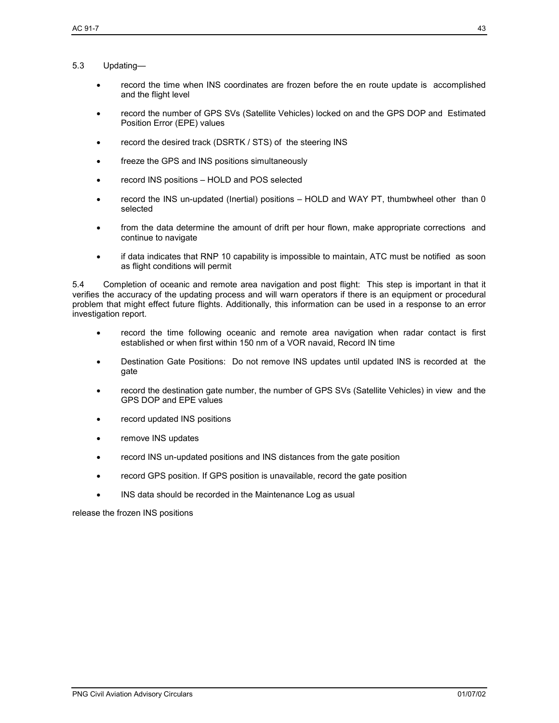- 5.3 Updating—
	- record the time when INS coordinates are frozen before the en route update is accomplished and the flight level
	- record the number of GPS SVs (Satellite Vehicles) locked on and the GPS DOP and Estimated Position Error (EPE) values
	- record the desired track (DSRTK / STS) of the steering INS
	- freeze the GPS and INS positions simultaneously
	- record INS positions HOLD and POS selected
	- record the INS un-updated (Inertial) positions HOLD and WAY PT, thumbwheel other than 0 selected
	- from the data determine the amount of drift per hour flown, make appropriate corrections and continue to navigate
	- if data indicates that RNP 10 capability is impossible to maintain, ATC must be notified as soon as flight conditions will permit

5.4 Completion of oceanic and remote area navigation and post flight: This step is important in that it verifies the accuracy of the updating process and will warn operators if there is an equipment or procedural problem that might effect future flights. Additionally, this information can be used in a response to an error investigation report.

- record the time following oceanic and remote area navigation when radar contact is first established or when first within 150 nm of a VOR navaid, Record IN time
- Destination Gate Positions: Do not remove INS updates until updated INS is recorded at the gate
- record the destination gate number, the number of GPS SVs (Satellite Vehicles) in view and the GPS DOP and EPE values
- record updated INS positions
- remove INS updates
- record INS un-updated positions and INS distances from the gate position
- record GPS position. If GPS position is unavailable, record the gate position
- INS data should be recorded in the Maintenance Log as usual

release the frozen INS positions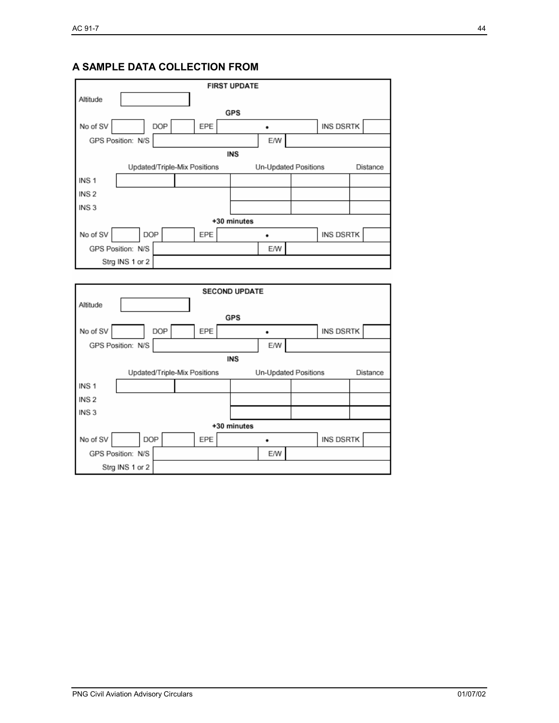## **A SAMPLE DATA COLLECTION FROM**